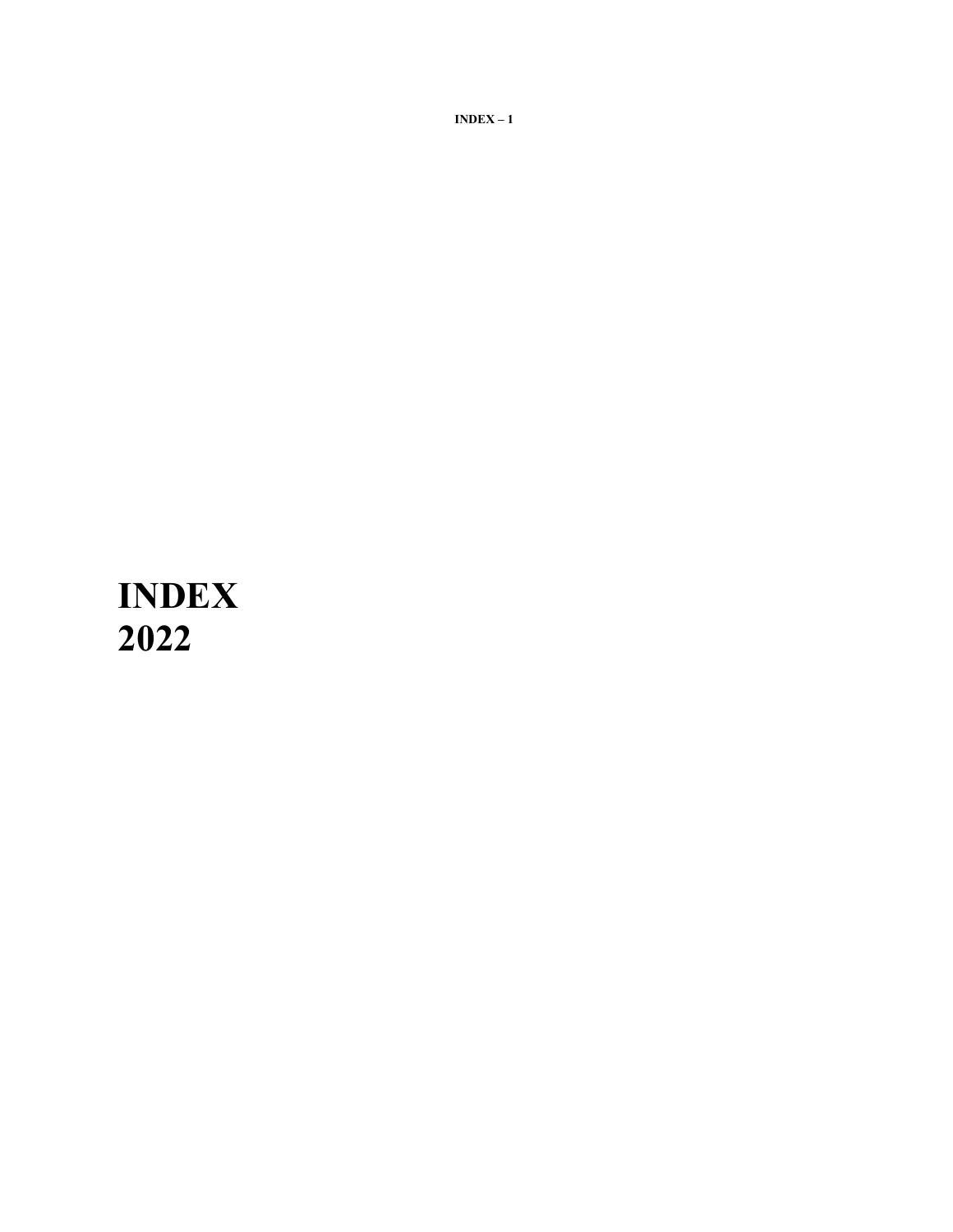# **INDEX 2022**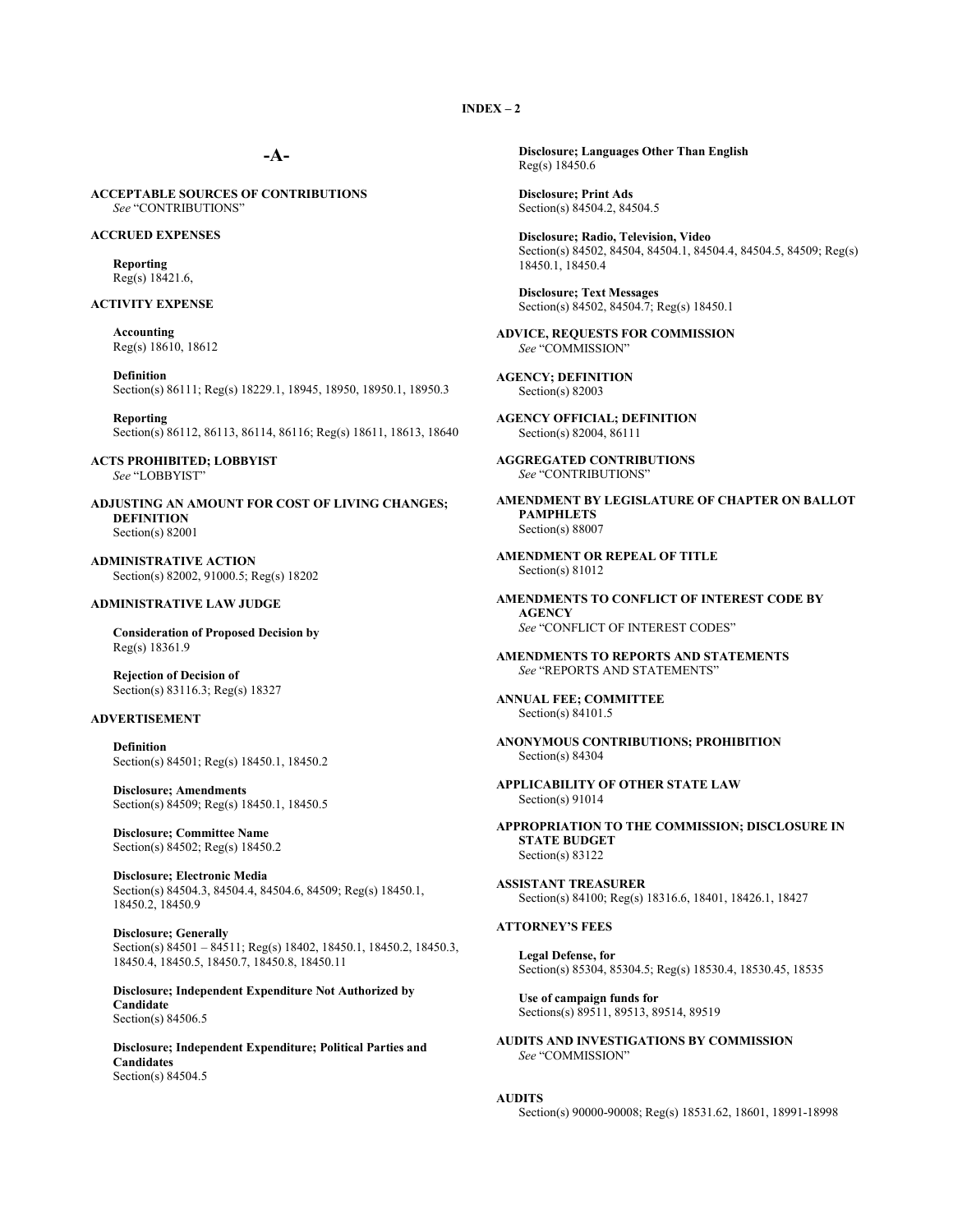## **-A-**

**ACCEPTABLE SOURCES OF CONTRIBUTIONS** *See* "CONTRIBUTIONS"

#### **ACCRUED EXPENSES**

**Reporting** Reg(s) 18421.6,

#### **ACTIVITY EXPENSE**

**Accounting** Reg(s) 18610, 18612

**Definition** Section(s) 86111; Reg(s) 18229.1, 18945, 18950, 18950.1, 18950.3

**Reporting** Section(s) 86112, 86113, 86114, 86116; Reg(s) 18611, 18613, 18640

**ACTS PROHIBITED; LOBBYIST** *See* "LOBBYIST"

**ADJUSTING AN AMOUNT FOR COST OF LIVING CHANGES; DEFINITION** Section(s) 82001

**ADMINISTRATIVE ACTION** Section(s) 82002, 91000.5; Reg(s) 18202

#### **ADMINISTRATIVE LAW JUDGE**

**Consideration of Proposed Decision by** Reg(s) 18361.9

**Rejection of Decision of** Section(s) 83116.3; Reg(s) 18327

## **ADVERTISEMENT**

**Definition** Section(s) 84501; Reg(s) 18450.1, 18450.2

**Disclosure; Amendments** Section(s) 84509; Reg(s) 18450.1, 18450.5

**Disclosure; Committee Name** Section(s) 84502; Reg(s) 18450.2

**Disclosure; Electronic Media** Section(s) 84504.3, 84504.4, 84504.6, 84509; Reg(s) 18450.1, 18450.2, 18450.9

**Disclosure; Generally** Section(s) 84501 – 84511; Reg(s) 18402, 18450.1, 18450.2, 18450.3, 18450.4, 18450.5, 18450.7, 18450.8, 18450.11

**Disclosure; Independent Expenditure Not Authorized by Candidate** Section(s) 84506.5

**Disclosure; Independent Expenditure; Political Parties and Candidates** Section(s) 84504.5

**Disclosure; Languages Other Than English** Reg(s) 18450.6

**Disclosure; Print Ads** Section(s) 84504.2, 84504.5

**Disclosure; Radio, Television, Video** Section(s) 84502, 84504, 84504.1, 84504.4, 84504.5, 84509; Reg(s) 18450.1, 18450.4

**Disclosure; Text Messages** Section(s) 84502, 84504.7; Reg(s) 18450.1

**ADVICE, REQUESTS FOR COMMISSION** *See* "COMMISSION"

**AGENCY; DEFINITION** Section(s) 82003

**AGENCY OFFICIAL; DEFINITION** Section(s) 82004, 86111

**AGGREGATED CONTRIBUTIONS** *See* "CONTRIBUTIONS"

**AMENDMENT BY LEGISLATURE OF CHAPTER ON BALLOT PAMPHLETS** Section(s) 88007

**AMENDMENT OR REPEAL OF TITLE** Section(s) 81012

**AMENDMENTS TO CONFLICT OF INTEREST CODE BY AGENCY** *See* "CONFLICT OF INTEREST CODES"

**AMENDMENTS TO REPORTS AND STATEMENTS** *See* "REPORTS AND STATEMENTS"

**ANNUAL FEE; COMMITTEE** Section(s) 84101.5

**ANONYMOUS CONTRIBUTIONS; PROHIBITION** Section(s) 84304

**APPLICABILITY OF OTHER STATE LAW** Section(s) 91014

**APPROPRIATION TO THE COMMISSION; DISCLOSURE IN STATE BUDGET** Section(s) 83122

**ASSISTANT TREASURER** Section(s) 84100; Reg(s) 18316.6, 18401, 18426.1, 18427

#### **ATTORNEY'S FEES**

**Legal Defense, for** Section(s) 85304, 85304.5; Reg(s) 18530.4, 18530.45, 18535

**Use of campaign funds for** Sections(s) 89511, 89513, 89514, 89519

**AUDITS AND INVESTIGATIONS BY COMMISSION** *See* "COMMISSION"

#### **AUDITS**

Section(s) 90000-90008; Reg(s) 18531.62, 18601, 18991-18998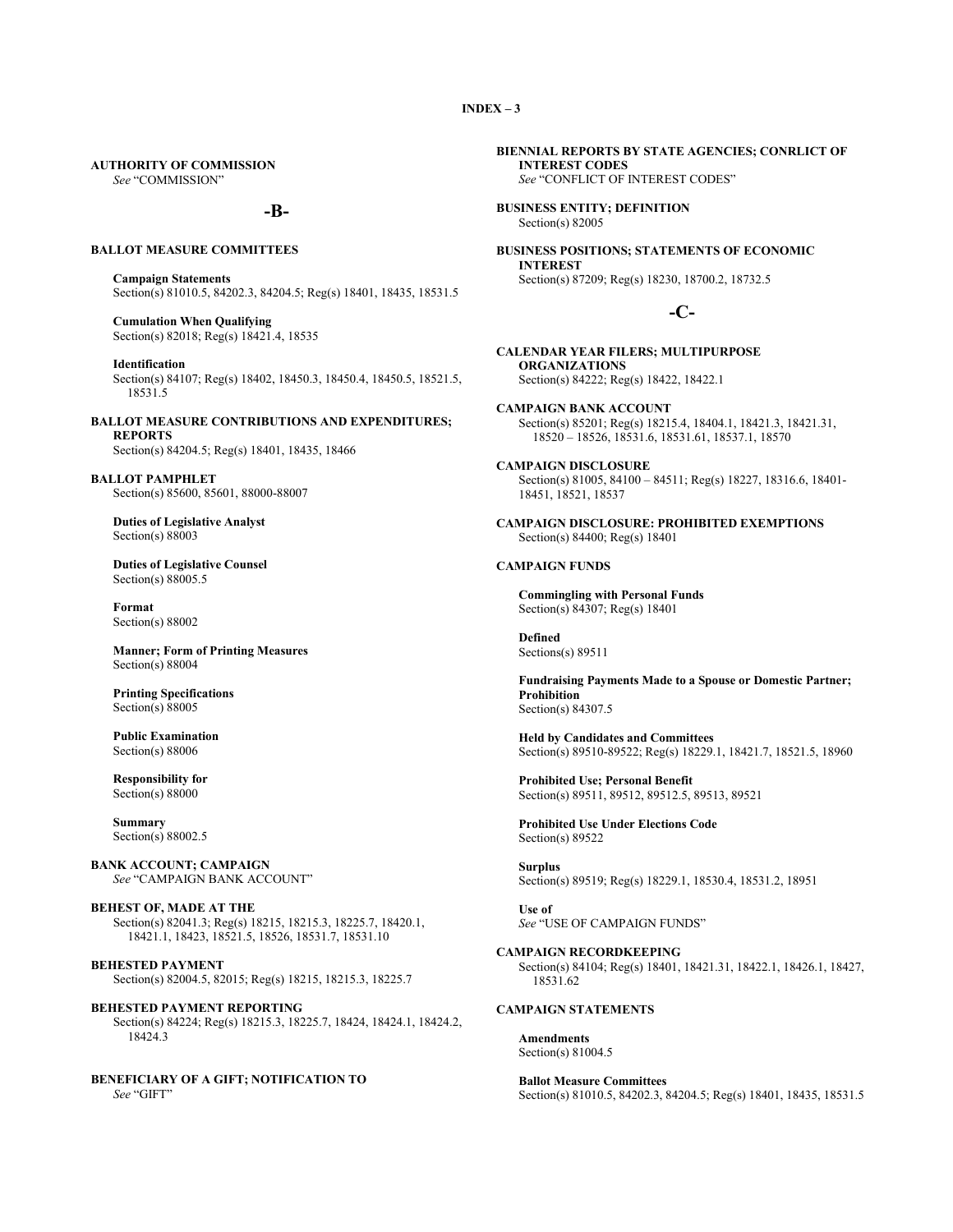## **AUTHORITY OF COMMISSION**

*See* "COMMISSION"

## **-B-**

#### **BALLOT MEASURE COMMITTEES**

**Campaign Statements** Section(s) 81010.5, 84202.3, 84204.5; Reg(s) 18401, 18435, 18531.5

**Cumulation When Qualifying** Section(s) 82018; Reg(s) 18421.4, 18535

**Identification**

Section(s) 84107; Reg(s) 18402, 18450.3, 18450.4, 18450.5, 18521.5, 18531.5

**BALLOT MEASURE CONTRIBUTIONS AND EXPENDITURES; REPORTS**

Section(s) 84204.5; Reg(s) 18401, 18435, 18466

**BALLOT PAMPHLET** Section(s) 85600, 85601, 88000-88007

**Duties of Legislative Analyst** Section(s) 88003

**Duties of Legislative Counsel** Section(s) 88005.5

**Format** Section(s) 88002

**Manner; Form of Printing Measures** Section(s) 88004

**Printing Specifications** Section(s) 88005

**Public Examination** Section(s) 88006

**Responsibility for** Section(s) 88000

**Summary** Section(s) 88002.5

**BANK ACCOUNT; CAMPAIGN** *See* "CAMPAIGN BANK ACCOUNT"

**BEHEST OF, MADE AT THE** Section(s) 82041.3; Reg(s) 18215, 18215.3, 18225.7, 18420.1, 18421.1, 18423, 18521.5, 18526, 18531.7, 18531.10

**BEHESTED PAYMENT** Section(s) 82004.5, 82015; Reg(s) 18215, 18215.3, 18225.7

**BEHESTED PAYMENT REPORTING** Section(s) 84224; Reg(s) 18215.3, 18225.7, 18424, 18424.1, 18424.2, 18424.3

**BENEFICIARY OF A GIFT; NOTIFICATION TO** *See* "GIFT"

**BIENNIAL REPORTS BY STATE AGENCIES; CONRLICT OF INTEREST CODES**  *See* "CONFLICT OF INTEREST CODES"

**BUSINESS ENTITY; DEFINITION** Section(s) 82005

**BUSINESS POSITIONS; STATEMENTS OF ECONOMIC INTEREST** Section(s) 87209; Reg(s) 18230, 18700.2, 18732.5

## **-C-**

**CALENDAR YEAR FILERS; MULTIPURPOSE ORGANIZATIONS** Section(s) 84222; Reg(s) 18422, 18422.1

**CAMPAIGN BANK ACCOUNT** Section(s) 85201; Reg(s) 18215.4, 18404.1, 18421.3, 18421.31, 18520 – 18526, 18531.6, 18531.61, 18537.1, 18570

**CAMPAIGN DISCLOSURE** Section(s) 81005, 84100 – 84511; Reg(s) 18227, 18316.6, 18401- 18451, 18521, 18537

**CAMPAIGN DISCLOSURE: PROHIBITED EXEMPTIONS** Section(s) 84400; Reg(s) 18401

#### **CAMPAIGN FUNDS**

**Commingling with Personal Funds** Section(s) 84307; Reg(s) 18401

**Defined** Sections(s) 89511

**Fundraising Payments Made to a Spouse or Domestic Partner; Prohibition** Section(s) 84307.5

**Held by Candidates and Committees** Section(s) 89510-89522; Reg(s) 18229.1, 18421.7, 18521.5, 18960

**Prohibited Use; Personal Benefit** Section(s) 89511, 89512, 89512.5, 89513, 89521

**Prohibited Use Under Elections Code** Section(s) 89522

**Surplus** Section(s) 89519; Reg(s) 18229.1, 18530.4, 18531.2, 18951

**Use of** *See* "USE OF CAMPAIGN FUNDS"

**CAMPAIGN RECORDKEEPING**

Section(s) 84104; Reg(s) 18401, 18421.31, 18422.1, 18426.1, 18427, 18531.62

## **CAMPAIGN STATEMENTS**

**Amendments** Section(s) 81004.5

**Ballot Measure Committees** Section(s) 81010.5, 84202.3, 84204.5; Reg(s) 18401, 18435, 18531.5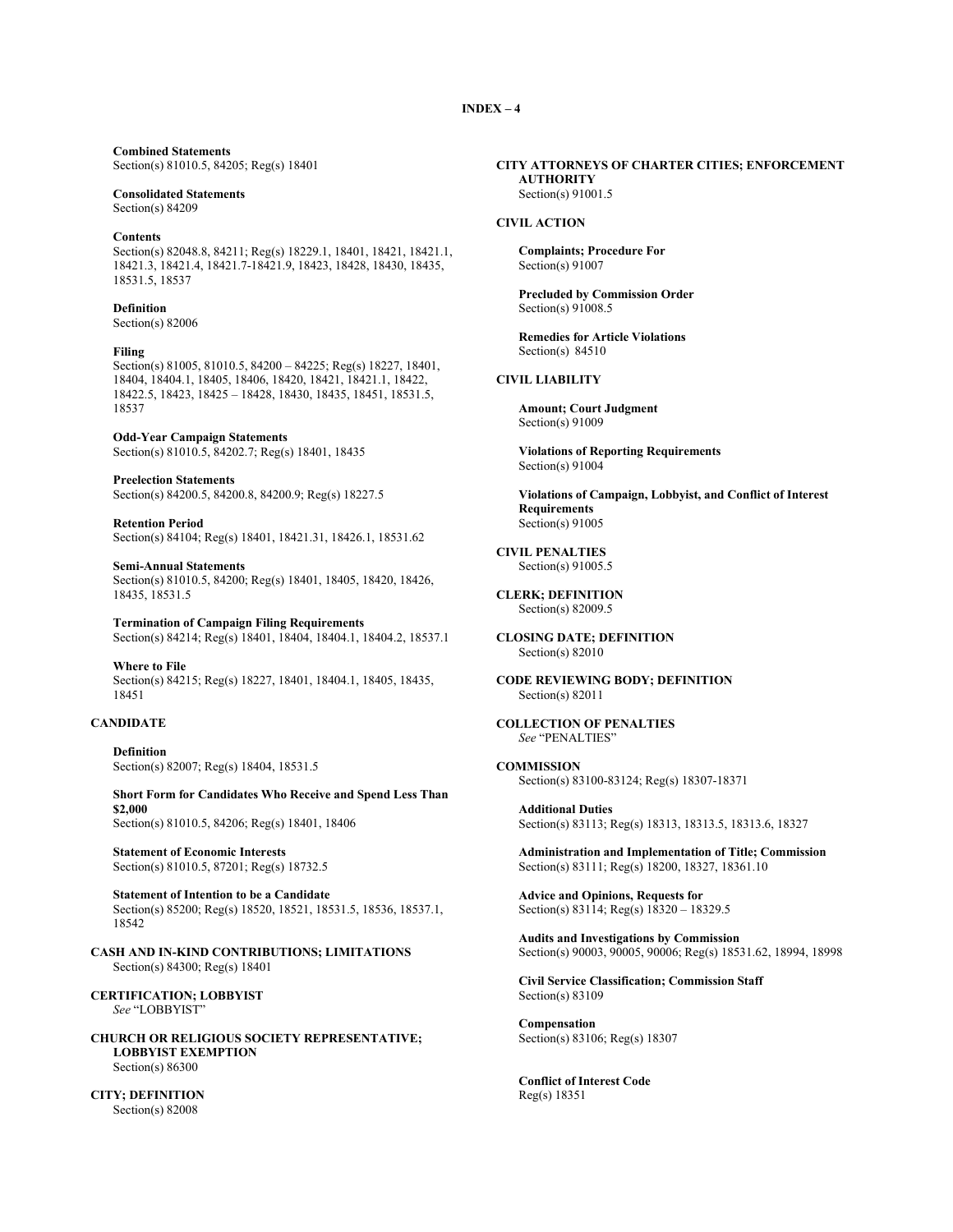## **Combined Statements**

Section(s) 81010.5, 84205; Reg(s) 18401

#### **Consolidated Statements** Section(s) 84209

#### **Contents**

Section(s) 82048.8, 84211; Reg(s) 18229.1, 18401, 18421, 18421.1, 18421.3, 18421.4, 18421.7-18421.9, 18423, 18428, 18430, 18435, 18531.5, 18537

# **Definition**

Section(s) 82006

#### **Filing**

Section(s) 81005, 81010.5, 84200 – 84225; Reg(s) 18227, 18401, 18404, 18404.1, 18405, 18406, 18420, 18421, 18421.1, 18422, 18422.5, 18423, 18425 – 18428, 18430, 18435, 18451, 18531.5, 18537

#### **Odd-Year Campaign Statements** Section(s) 81010.5, 84202.7; Reg(s) 18401, 18435

**Preelection Statements** Section(s) 84200.5, 84200.8, 84200.9; Reg(s) 18227.5

**Retention Period** Section(s) 84104; Reg(s) 18401, 18421.31, 18426.1, 18531.62

**Semi-Annual Statements** Section(s) 81010.5, 84200; Reg(s) 18401, 18405, 18420, 18426, 18435, 18531.5

**Termination of Campaign Filing Requirements** Section(s) 84214; Reg(s) 18401, 18404, 18404.1, 18404.2, 18537.1

**Where to File** Section(s) 84215; Reg(s) 18227, 18401, 18404.1, 18405, 18435, 18451

## **CANDIDATE**

**Definition** Section(s) 82007; Reg(s) 18404, 18531.5

**Short Form for Candidates Who Receive and Spend Less Than \$2,000** Section(s) 81010.5, 84206; Reg(s) 18401, 18406

**Statement of Economic Interests** Section(s) 81010.5, 87201; Reg(s) 18732.5

**Statement of Intention to be a Candidate** Section(s) 85200; Reg(s) 18520, 18521, 18531.5, 18536, 18537.1, 18542

**CASH AND IN-KIND CONTRIBUTIONS; LIMITATIONS** Section(s) 84300; Reg(s) 18401

**CERTIFICATION; LOBBYIST** *See* "LOBBYIST"

**CHURCH OR RELIGIOUS SOCIETY REPRESENTATIVE; LOBBYIST EXEMPTION** Section(s) 86300

**CITY; DEFINITION** Section(s) 82008

#### **CITY ATTORNEYS OF CHARTER CITIES; ENFORCEMENT AUTHORITY** Section(s) 91001.5

## **CIVIL ACTION**

**Complaints; Procedure For**  Section(s) 91007

**Precluded by Commission Order** Section(s) 91008.5

**Remedies for Article Violations** Section(s) 84510

#### **CIVIL LIABILITY**

**Amount; Court Judgment** Section(s) 91009

**Violations of Reporting Requirements** Section(s) 91004

**Violations of Campaign, Lobbyist, and Conflict of Interest Requirements** Section(s) 91005

**CIVIL PENALTIES** Section(s) 91005.5

**CLERK; DEFINITION** Section(s) 82009.5

#### **CLOSING DATE; DEFINITION** Section(s) 82010

**CODE REVIEWING BODY; DEFINITION** Section(s) 82011

**COLLECTION OF PENALTIES** *See* "PENALTIES"

#### **COMMISSION**

Section(s) 83100-83124; Reg(s) 18307-18371

**Additional Duties** Section(s) 83113; Reg(s) 18313, 18313.5, 18313.6, 18327

**Administration and Implementation of Title; Commission** Section(s) 83111; Reg(s) 18200, 18327, 18361.10

**Advice and Opinions, Requests for** Section(s) 83114; Reg(s) 18320 – 18329.5

**Audits and Investigations by Commission** Section(s) 90003, 90005, 90006; Reg(s) 18531.62, 18994, 18998

**Civil Service Classification; Commission Staff** Section(s) 83109

**Compensation** Section(s) 83106; Reg(s) 18307

**Conflict of Interest Code** Reg(s) 18351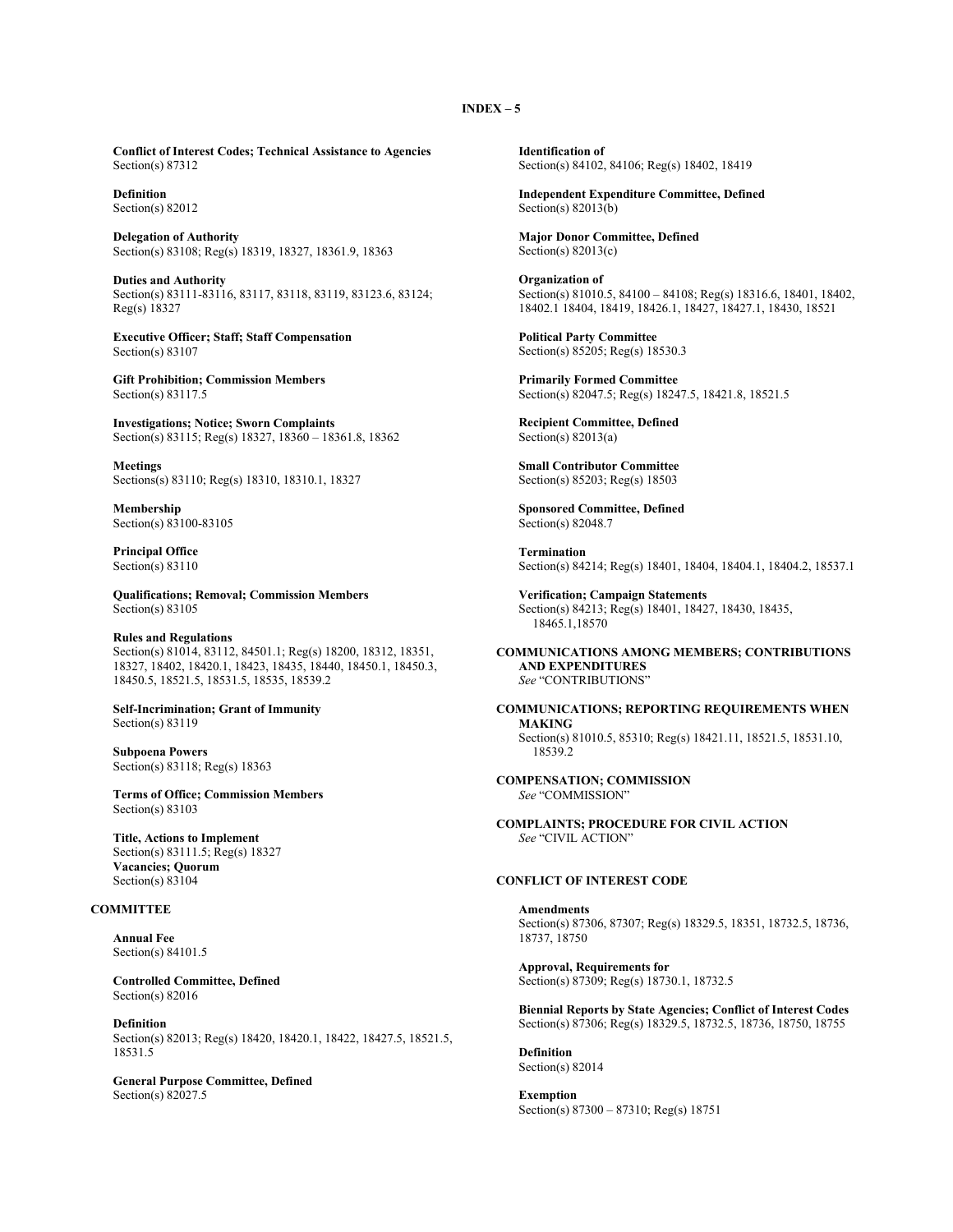**Conflict of Interest Codes; Technical Assistance to Agencies** Section(s) 87312

**Definition** Section(s) 82012

**Delegation of Authority** Section(s) 83108; Reg(s) 18319, 18327, 18361.9, 18363

**Duties and Authority** Section(s) 83111-83116, 83117, 83118, 83119, 83123.6, 83124; Reg(s) 18327

**Executive Officer; Staff; Staff Compensation** Section(s) 83107

**Gift Prohibition; Commission Members** Section(s) 83117.5

**Investigations; Notice; Sworn Complaints** Section(s) 83115; Reg(s) 18327, 18360 – 18361.8, 18362

**Meetings** Sections(s) 83110; Reg(s) 18310, 18310.1, 18327

**Membership** Section(s) 83100-83105

**Principal Office** Section(s) 83110

**Qualifications; Removal; Commission Members** Section(s) 83105

## **Rules and Regulations**

Section(s) 81014, 83112, 84501.1; Reg(s) 18200, 18312, 18351, 18327, 18402, 18420.1, 18423, 18435, 18440, 18450.1, 18450.3, 18450.5, 18521.5, 18531.5, 18535, 18539.2

**Self-Incrimination; Grant of Immunity** Section(s) 83119

**Subpoena Powers** Section(s) 83118; Reg(s) 18363

**Terms of Office; Commission Members** Section(s) 83103

**Title, Actions to Implement** Section(s) 83111.5; Reg(s) 18327 **Vacancies; Quorum** Section(s) 83104

## **COMMITTEE**

**Annual Fee** Section(s) 84101.5

**Controlled Committee, Defined** Section(s) 82016

**Definition** Section(s) 82013; Reg(s) 18420, 18420.1, 18422, 18427.5, 18521.5, 18531.5

**General Purpose Committee, Defined** Section(s) 82027.5

**Identification of** Section(s) 84102, 84106; Reg(s) 18402, 18419

**Independent Expenditure Committee, Defined** Section(s) 82013(b)

**Major Donor Committee, Defined** Section(s) 82013(c)

**Organization of**  Section(s) 81010.5, 84100 – 84108; Reg(s) 18316.6, 18401, 18402, 18402.1 18404, 18419, 18426.1, 18427, 18427.1, 18430, 18521

**Political Party Committee** Section(s) 85205; Reg(s) 18530.3

**Primarily Formed Committee** Section(s) 82047.5; Reg(s) 18247.5, 18421.8, 18521.5

**Recipient Committee, Defined** Section(s) 82013(a)

**Small Contributor Committee** Section(s) 85203; Reg(s) 18503

**Sponsored Committee, Defined** Section(s) 82048.7

**Termination** Section(s) 84214; Reg(s) 18401, 18404, 18404.1, 18404.2, 18537.1

**Verification; Campaign Statements** Section(s) 84213; Reg(s) 18401, 18427, 18430, 18435, 18465.1,18570

**COMMUNICATIONS AMONG MEMBERS; CONTRIBUTIONS AND EXPENDITURES** *See* "CONTRIBUTIONS"

**COMMUNICATIONS; REPORTING REQUIREMENTS WHEN MAKING** Section(s) 81010.5, 85310; Reg(s) 18421.11, 18521.5, 18531.10, 18539.2

**COMPENSATION; COMMISSION** *See* "COMMISSION"

**COMPLAINTS; PROCEDURE FOR CIVIL ACTION** *See* "CIVIL ACTION"

## **CONFLICT OF INTEREST CODE**

**Amendments** Section(s) 87306, 87307; Reg(s) 18329.5, 18351, 18732.5, 18736, 18737, 18750

**Approval, Requirements for** Section(s) 87309; Reg(s) 18730.1, 18732.5

**Biennial Reports by State Agencies; Conflict of Interest Codes** Section(s) 87306; Reg(s) 18329.5, 18732.5, 18736, 18750, 18755

**Definition** Section(s) 82014

**Exemption** Section(s) 87300 – 87310; Reg(s) 18751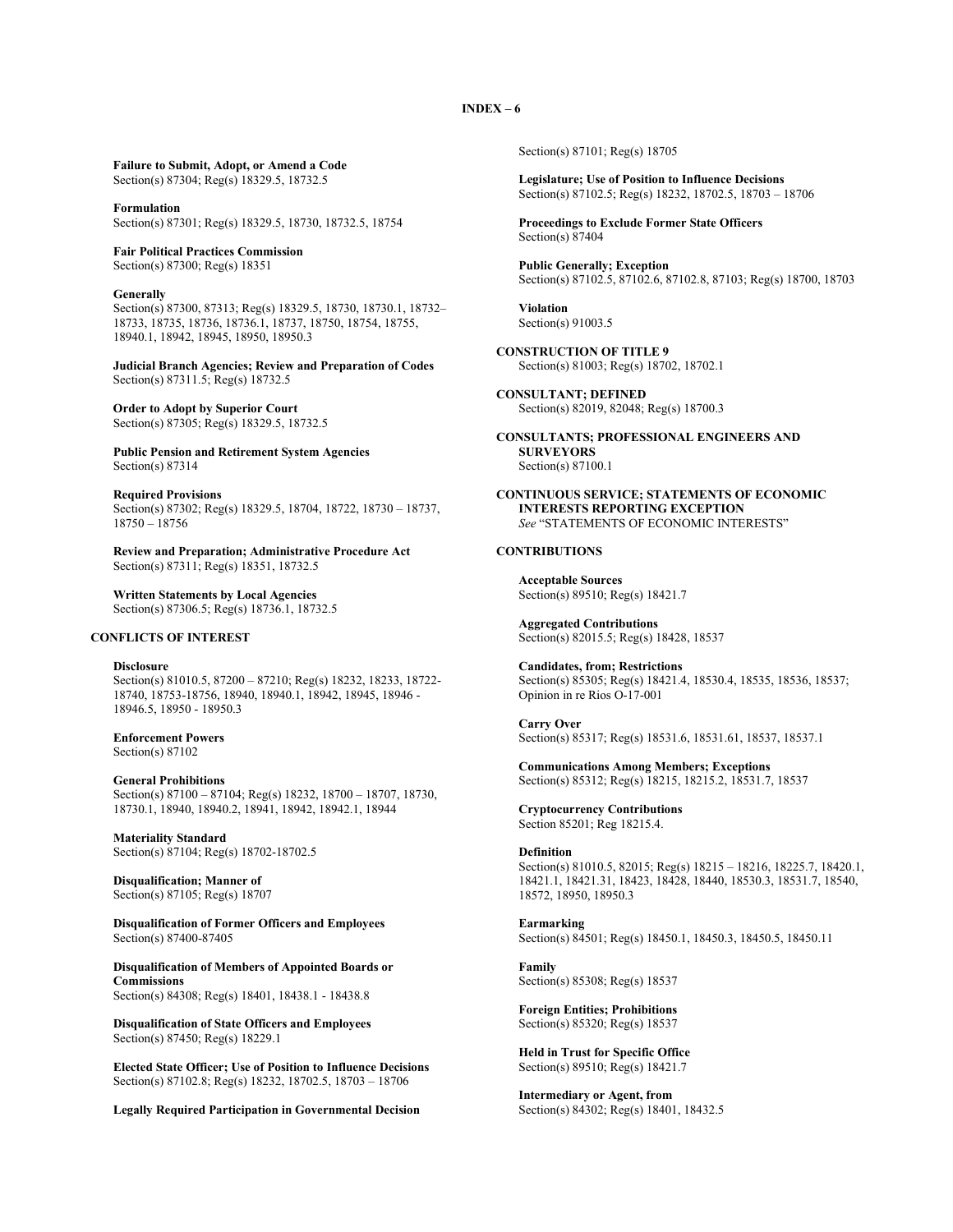**Failure to Submit, Adopt, or Amend a Code** Section(s) 87304; Reg(s) 18329.5, 18732.5

**Formulation** Section(s) 87301; Reg(s) 18329.5, 18730, 18732.5, 18754

**Fair Political Practices Commission** Section(s) 87300; Reg(s) 18351

**Generally**

Section(s) 87300, 87313; Reg(s) 18329.5, 18730, 18730.1, 18732– 18733, 18735, 18736, 18736.1, 18737, 18750, 18754, 18755, 18940.1, 18942, 18945, 18950, 18950.3

**Judicial Branch Agencies; Review and Preparation of Codes** Section(s) 87311.5; Reg(s) 18732.5

**Order to Adopt by Superior Court** Section(s) 87305; Reg(s) 18329.5, 18732.5

**Public Pension and Retirement System Agencies** Section(s) 87314

**Required Provisions** Section(s) 87302; Reg(s) 18329.5, 18704, 18722, 18730 – 18737, 18750 – 18756

**Review and Preparation; Administrative Procedure Act** Section(s) 87311; Reg(s) 18351, 18732.5

**Written Statements by Local Agencies** Section(s) 87306.5; Reg(s) 18736.1, 18732.5

#### **CONFLICTS OF INTEREST**

**Disclosure** Section(s) 81010.5, 87200 – 87210; Reg(s) 18232, 18233, 18722- 18740, 18753-18756, 18940, 18940.1, 18942, 18945, 18946 - 18946.5, 18950 - 18950.3

**Enforcement Powers** Section(s) 87102

**General Prohibitions** Section(s) 87100 – 87104; Reg(s) 18232, 18700 – 18707, 18730, 18730.1, 18940, 18940.2, 18941, 18942, 18942.1, 18944

**Materiality Standard** Section(s) 87104; Reg(s) 18702-18702.5

**Disqualification; Manner of** Section(s) 87105; Reg(s) 18707

**Disqualification of Former Officers and Employees** Section(s) 87400-87405

**Disqualification of Members of Appointed Boards or Commissions** Section(s) 84308; Reg(s) 18401, 18438.1 - 18438.8

**Disqualification of State Officers and Employees** Section(s) 87450; Reg(s) 18229.1

**Elected State Officer; Use of Position to Influence Decisions** Section(s) 87102.8; Reg(s) 18232, 18702.5, 18703 – 18706

**Legally Required Participation in Governmental Decision**

Section(s) 87101; Reg(s) 18705

**Legislature; Use of Position to Influence Decisions** Section(s) 87102.5; Reg(s) 18232, 18702.5, 18703 – 18706

**Proceedings to Exclude Former State Officers** Section(s) 87404

**Public Generally; Exception** Section(s) 87102.5, 87102.6, 87102.8, 87103; Reg(s) 18700, 18703

**Violation** Section(s) 91003.5

**CONSTRUCTION OF TITLE 9** Section(s) 81003; Reg(s) 18702, 18702.1

**CONSULTANT; DEFINED** Section(s) 82019, 82048; Reg(s) 18700.3

**CONSULTANTS; PROFESSIONAL ENGINEERS AND SURVEYORS** Section(s) 87100.1

**CONTINUOUS SERVICE; STATEMENTS OF ECONOMIC INTERESTS REPORTING EXCEPTION** *See* "STATEMENTS OF ECONOMIC INTERESTS"

#### **CONTRIBUTIONS**

**Acceptable Sources** Section(s) 89510; Reg(s) 18421.7

**Aggregated Contributions** Section(s) 82015.5; Reg(s) 18428, 18537

**Candidates, from; Restrictions** Section(s) 85305; Reg(s) 18421.4, 18530.4, 18535, 18536, 18537; Opinion in re Rios O-17-001

**Carry Over** Section(s) 85317; Reg(s) 18531.6, 18531.61, 18537, 18537.1

**Communications Among Members; Exceptions** Section(s) 85312; Reg(s) 18215, 18215.2, 18531.7, 18537

**Cryptocurrency Contributions** Section 85201; Reg 18215.4.

#### **Definition**

Section(s) 81010.5, 82015; Reg(s) 18215 – 18216, 18225.7, 18420.1, 18421.1, 18421.31, 18423, 18428, 18440, 18530.3, 18531.7, 18540, 18572, 18950, 18950.3

**Earmarking**

Section(s) 84501; Reg(s) 18450.1, 18450.3, 18450.5, 18450.11

**Family** Section(s) 85308; Reg(s) 18537

**Foreign Entities; Prohibitions** Section(s) 85320; Reg(s) 18537

**Held in Trust for Specific Office** Section(s) 89510; Reg(s) 18421.7

**Intermediary or Agent, from** Section(s) 84302; Reg(s) 18401, 18432.5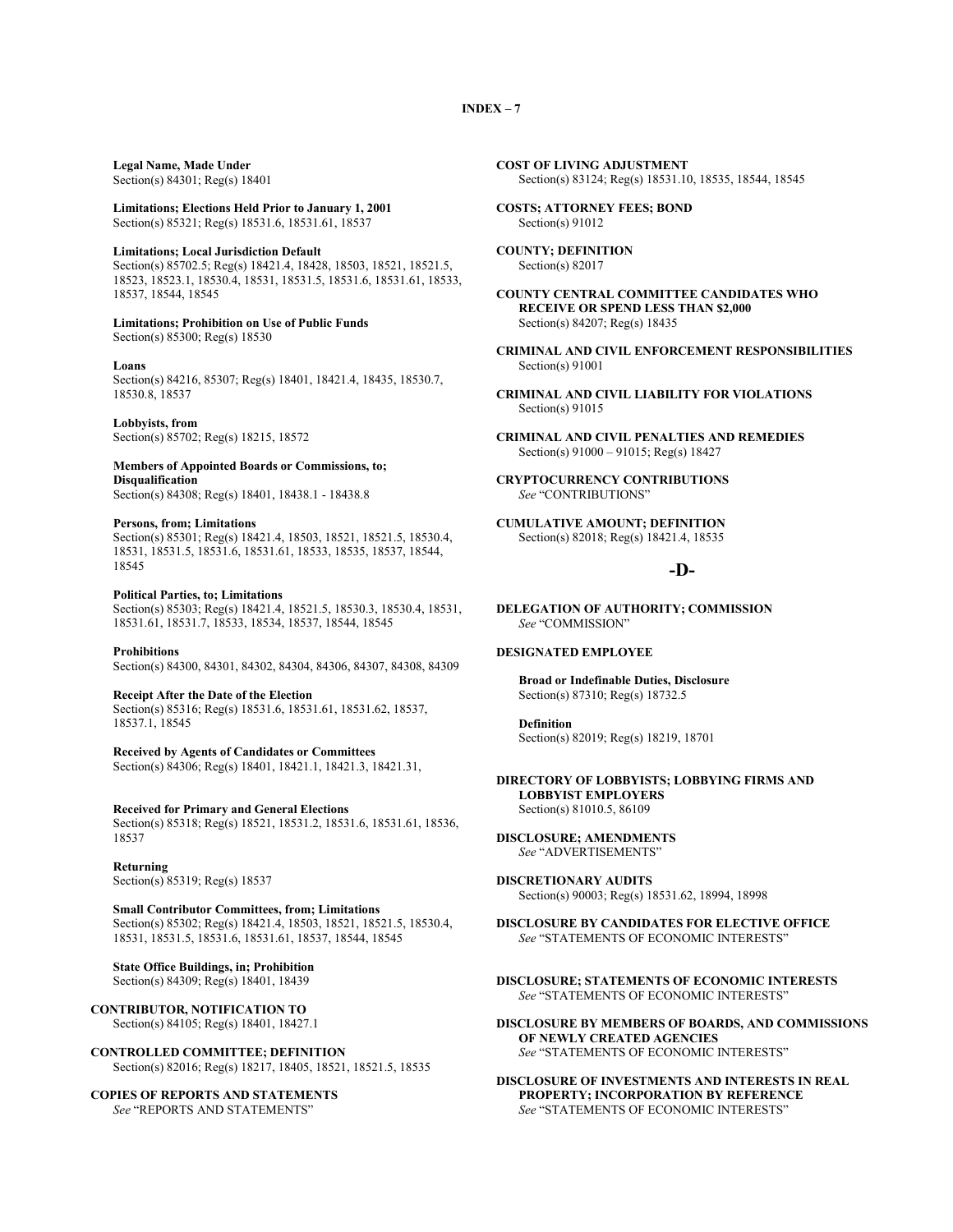**Legal Name, Made Under**

Section(s) 84301; Reg(s) 18401

**Limitations; Elections Held Prior to January 1, 2001** Section(s) 85321; Reg(s) 18531.6, 18531.61, 18537

**Limitations; Local Jurisdiction Default**

Section(s) 85702.5; Reg(s) 18421.4, 18428, 18503, 18521, 18521.5, 18523, 18523.1, 18530.4, 18531, 18531.5, 18531.6, 18531.61, 18533, 18537, 18544, 18545

## **Limitations; Prohibition on Use of Public Funds**

Section(s) 85300; Reg(s) 18530

#### **Loans**

Section(s) 84216, 85307; Reg(s) 18401, 18421.4, 18435, 18530.7, 18530.8, 18537

**Lobbyists, from** Section(s) 85702; Reg(s) 18215, 18572

**Members of Appointed Boards or Commissions, to; Disqualification**

Section(s) 84308; Reg(s) 18401, 18438.1 - 18438.8

#### **Persons, from; Limitations**

Section(s) 85301; Reg(s) 18421.4, 18503, 18521, 18521.5, 18530.4, 18531, 18531.5, 18531.6, 18531.61, 18533, 18535, 18537, 18544, 18545

#### **Political Parties, to; Limitations**

Section(s) 85303; Reg(s) 18421.4, 18521.5, 18530.3, 18530.4, 18531, 18531.61, 18531.7, 18533, 18534, 18537, 18544, 18545

#### **Prohibitions**

Section(s) 84300, 84301, 84302, 84304, 84306, 84307, 84308, 84309

**Receipt After the Date of the Election**

Section(s) 85316; Reg(s) 18531.6, 18531.61, 18531.62, 18537, 18537.1, 18545

**Received by Agents of Candidates or Committees** Section(s) 84306; Reg(s) 18401, 18421.1, 18421.3, 18421.31,

**Received for Primary and General Elections** Section(s) 85318; Reg(s) 18521, 18531.2, 18531.6, 18531.61, 18536, 18537

**Returning** Section(s) 85319; Reg(s) 18537

**Small Contributor Committees, from; Limitations** Section(s) 85302; Reg(s) 18421.4, 18503, 18521, 18521.5, 18530.4, 18531, 18531.5, 18531.6, 18531.61, 18537, 18544, 18545

**State Office Buildings, in; Prohibition** Section(s) 84309; Reg(s) 18401, 18439

**CONTRIBUTOR, NOTIFICATION TO** Section(s) 84105; Reg(s) 18401, 18427.1

**CONTROLLED COMMITTEE; DEFINITION** Section(s) 82016; Reg(s) 18217, 18405, 18521, 18521.5, 18535

**COPIES OF REPORTS AND STATEMENTS** *See* "REPORTS AND STATEMENTS"

**COST OF LIVING ADJUSTMENT** Section(s) 83124; Reg(s) 18531.10, 18535, 18544, 18545

**COSTS; ATTORNEY FEES; BOND** Section(s) 91012

**COUNTY; DEFINITION** Section(s) 82017

**COUNTY CENTRAL COMMITTEE CANDIDATES WHO RECEIVE OR SPEND LESS THAN \$2,000** Section(s) 84207; Reg(s) 18435

**CRIMINAL AND CIVIL ENFORCEMENT RESPONSIBILITIES** Section(s) 91001

**CRIMINAL AND CIVIL LIABILITY FOR VIOLATIONS** Section(s) 91015

**CRIMINAL AND CIVIL PENALTIES AND REMEDIES** Section(s) 91000 – 91015; Reg(s) 18427

**CRYPTOCURRENCY CONTRIBUTIONS** *See* "CONTRIBUTIONS"

**CUMULATIVE AMOUNT; DEFINITION** Section(s) 82018; Reg(s) 18421.4, 18535

## **-D-**

**DELEGATION OF AUTHORITY; COMMISSION** *See* "COMMISSION"

#### **DESIGNATED EMPLOYEE**

**Broad or Indefinable Duties, Disclosure** Section(s) 87310; Reg(s) 18732.5

**Definition** Section(s) 82019; Reg(s) 18219, 18701

**DIRECTORY OF LOBBYISTS; LOBBYING FIRMS AND LOBBYIST EMPLOYERS** Section(s) 81010.5, 86109

**DISCLOSURE; AMENDMENTS** *See* "ADVERTISEMENTS"

**DISCRETIONARY AUDITS** Section(s) 90003; Reg(s) 18531.62, 18994, 18998

**DISCLOSURE BY CANDIDATES FOR ELECTIVE OFFICE** *See* "STATEMENTS OF ECONOMIC INTERESTS"

#### **DISCLOSURE; STATEMENTS OF ECONOMIC INTERESTS** *See* "STATEMENTS OF ECONOMIC INTERESTS"

**DISCLOSURE BY MEMBERS OF BOARDS, AND COMMISSIONS OF NEWLY CREATED AGENCIES** *See* "STATEMENTS OF ECONOMIC INTERESTS"

**DISCLOSURE OF INVESTMENTS AND INTERESTS IN REAL PROPERTY; INCORPORATION BY REFERENCE** *See* "STATEMENTS OF ECONOMIC INTERESTS"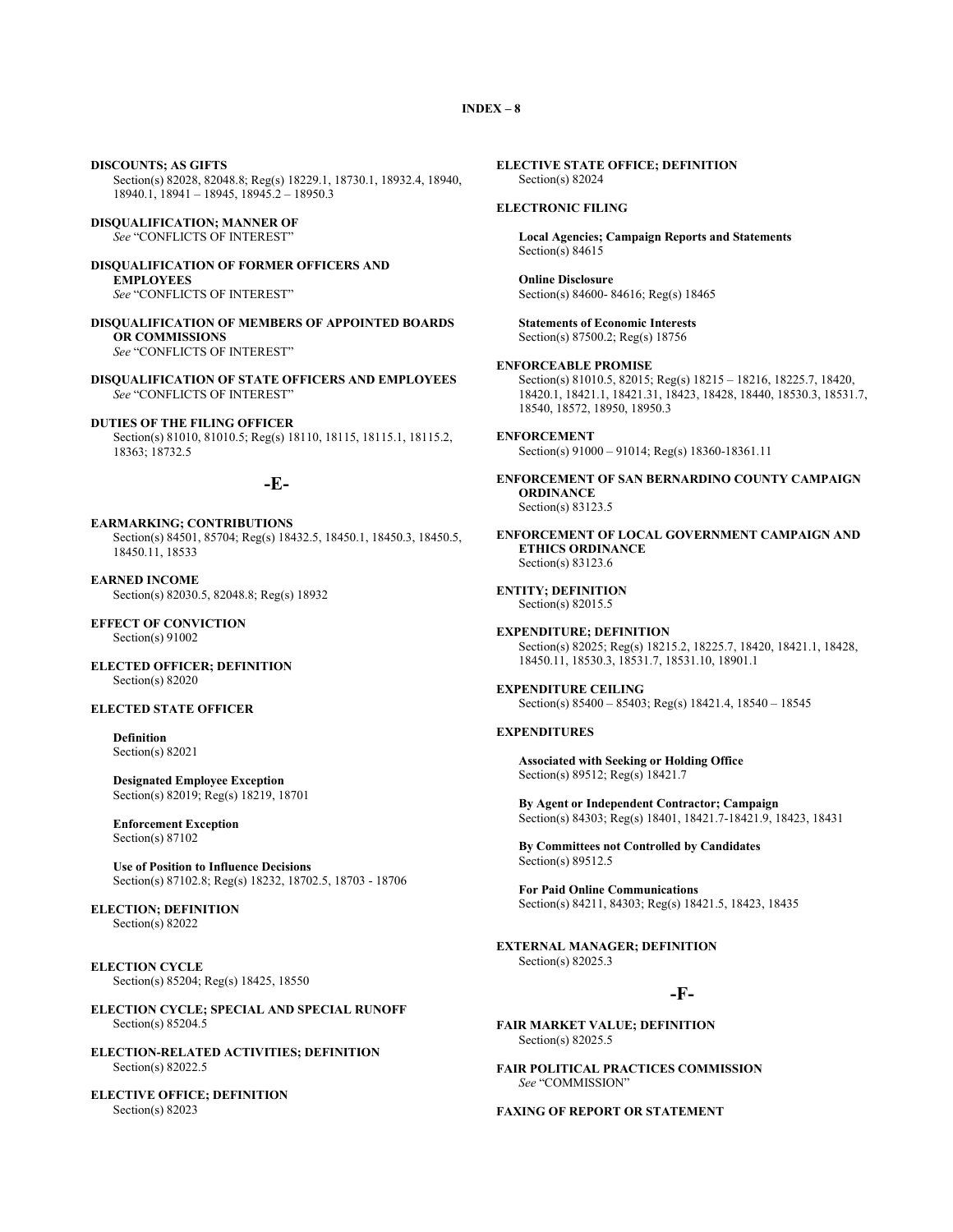**DISCOUNTS; AS GIFTS** Section(s) 82028, 82048.8; Reg(s) 18229.1, 18730.1, 18932.4, 18940, 18940.1, 18941 – 18945, 18945.2 – 18950.3

**DISQUALIFICATION; MANNER OF** *See* "CONFLICTS OF INTEREST"

**DISQUALIFICATION OF FORMER OFFICERS AND EMPLOYEES** *See* "CONFLICTS OF INTEREST"

**DISQUALIFICATION OF MEMBERS OF APPOINTED BOARDS OR COMMISSIONS** *See* "CONFLICTS OF INTEREST"

**DISQUALIFICATION OF STATE OFFICERS AND EMPLOYEES** *See* "CONFLICTS OF INTEREST"

**DUTIES OF THE FILING OFFICER** Section(s) 81010, 81010.5; Reg(s) 18110, 18115, 18115.1, 18115.2, 18363; 18732.5

## **-E-**

**EARMARKING; CONTRIBUTIONS** Section(s) 84501, 85704; Reg(s) 18432.5, 18450.1, 18450.3, 18450.5, 18450.11, 18533

**EARNED INCOME** Section(s) 82030.5, 82048.8; Reg(s) 18932

**EFFECT OF CONVICTION** Section(s) 91002

**ELECTED OFFICER; DEFINITION** Section(s) 82020

#### **ELECTED STATE OFFICER**

**Definition** Section(s) 82021

**Designated Employee Exception** Section(s) 82019; Reg(s) 18219, 18701

**Enforcement Exception** Section(s) 87102

**Use of Position to Influence Decisions** Section(s) 87102.8; Reg(s) 18232, 18702.5, 18703 - 18706

**ELECTION; DEFINITION** Section(s) 82022

**ELECTION CYCLE** Section(s) 85204; Reg(s) 18425, 18550

**ELECTION CYCLE; SPECIAL AND SPECIAL RUNOFF** Section(s) 85204.5

**ELECTION-RELATED ACTIVITIES; DEFINITION** Section(s) 82022.5

**ELECTIVE OFFICE; DEFINITION** Section(s) 82023

**ELECTIVE STATE OFFICE; DEFINITION** Section(s) 82024

#### **ELECTRONIC FILING**

**Local Agencies; Campaign Reports and Statements** Section(s) 84615

**Online Disclosure** Section(s) 84600- 84616; Reg(s) 18465

**Statements of Economic Interests** Section(s) 87500.2; Reg(s) 18756

**ENFORCEABLE PROMISE** Section(s) 81010.5, 82015; Reg(s) 18215 – 18216, 18225.7, 18420,

18420.1, 18421.1, 18421.31, 18423, 18428, 18440, 18530.3, 18531.7, 18540, 18572, 18950, 18950.3

## **ENFORCEMENT**

Section(s) 91000 – 91014; Reg(s) 18360-18361.11

**ENFORCEMENT OF SAN BERNARDINO COUNTY CAMPAIGN ORDINANCE** Section(s) 83123.5

**ENFORCEMENT OF LOCAL GOVERNMENT CAMPAIGN AND ETHICS ORDINANCE** Section(s) 83123.6

**ENTITY; DEFINITION** Section(s) 82015.5

**EXPENDITURE; DEFINITION** Section(s) 82025; Reg(s) 18215.2, 18225.7, 18420, 18421.1, 18428, 18450.11, 18530.3, 18531.7, 18531.10, 18901.1

**EXPENDITURE CEILING** Section(s) 85400 – 85403; Reg(s) 18421.4, 18540 – 18545

#### **EXPENDITURES**

**Associated with Seeking or Holding Office** Section(s) 89512; Reg(s) 18421.7

**By Agent or Independent Contractor; Campaign** Section(s) 84303; Reg(s) 18401, 18421.7-18421.9, 18423, 18431

**By Committees not Controlled by Candidates** Section(s) 89512.5

**For Paid Online Communications** Section(s) 84211, 84303; Reg(s) 18421.5, 18423, 18435

**EXTERNAL MANAGER; DEFINITION** Section(s) 82025.3

#### **-F-**

**FAIR MARKET VALUE; DEFINITION** Section(s) 82025.5

**FAIR POLITICAL PRACTICES COMMISSION** *See* "COMMISSION"

**FAXING OF REPORT OR STATEMENT**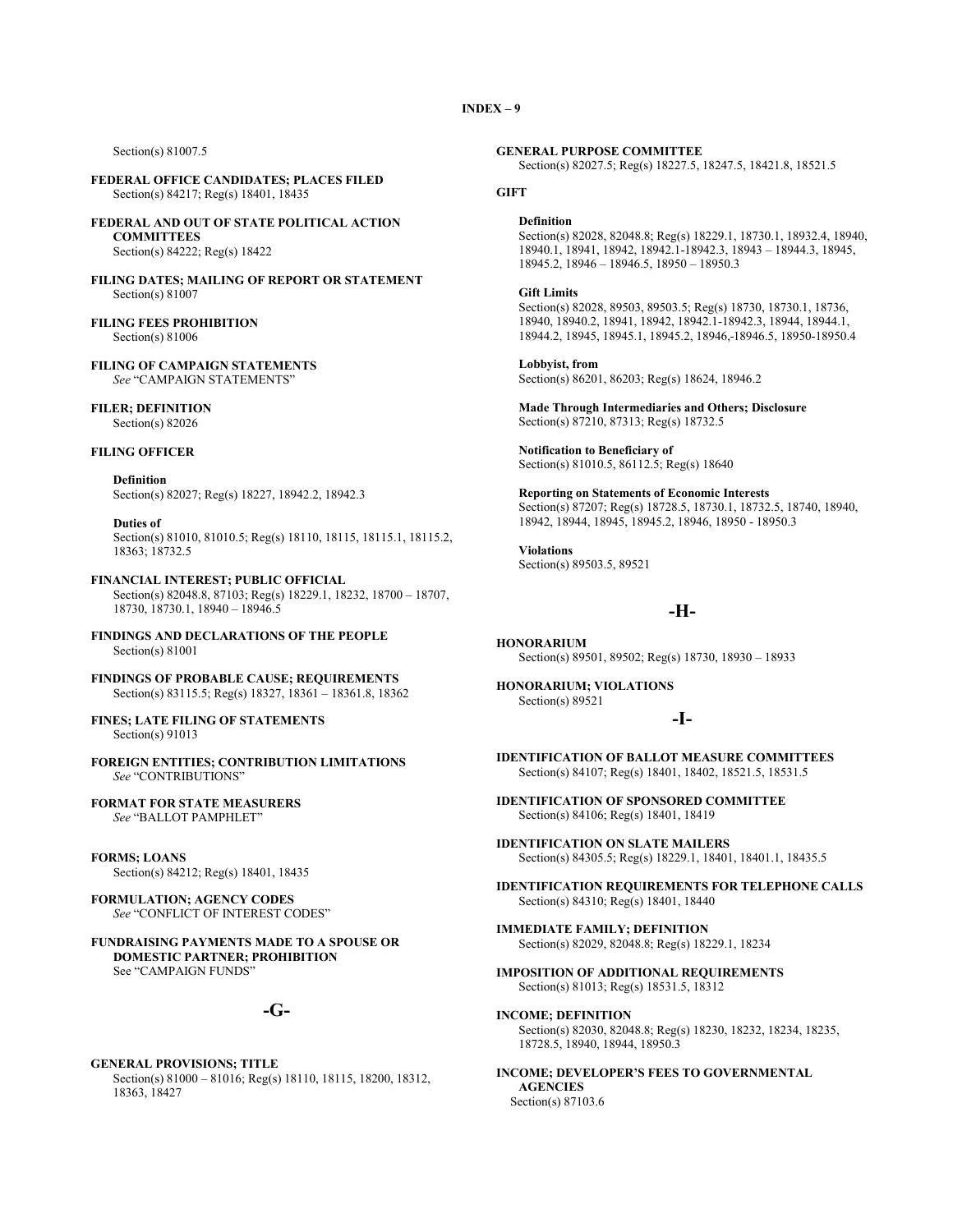Section(s) 81007.5

**FEDERAL OFFICE CANDIDATES; PLACES FILED** Section(s) 84217; Reg(s) 18401, 18435

**FEDERAL AND OUT OF STATE POLITICAL ACTION COMMITTEES** Section(s) 84222; Reg(s) 18422

**FILING DATES; MAILING OF REPORT OR STATEMENT** Section(s) 81007

**FILING FEES PROHIBITION** Section(s) 81006

**FILING OF CAMPAIGN STATEMENTS** *See* "CAMPAIGN STATEMENTS"

**FILER; DEFINITION** Section(s) 82026

## **FILING OFFICER**

**Definition** Section(s) 82027; Reg(s) 18227, 18942.2, 18942.3

**Duties of** Section(s) 81010, 81010.5; Reg(s) 18110, 18115, 18115.1, 18115.2, 18363; 18732.5

**FINANCIAL INTEREST; PUBLIC OFFICIAL** Section(s) 82048.8, 87103; Reg(s) 18229.1, 18232, 18700 – 18707, 18730, 18730.1, 18940 – 18946.5

**FINDINGS AND DECLARATIONS OF THE PEOPLE** Section(s) 81001

**FINDINGS OF PROBABLE CAUSE; REQUIREMENTS** Section(s) 83115.5; Reg(s) 18327, 18361 – 18361.8, 18362

**FINES; LATE FILING OF STATEMENTS** Section(s) 91013

**FOREIGN ENTITIES; CONTRIBUTION LIMITATIONS** *See* "CONTRIBUTIONS"

#### **FORMAT FOR STATE MEASURERS** *See* "BALLOT PAMPHLET"

**FORMS; LOANS** Section(s) 84212; Reg(s) 18401, 18435

**FORMULATION; AGENCY CODES** *See* "CONFLICT OF INTEREST CODES"

**FUNDRAISING PAYMENTS MADE TO A SPOUSE OR DOMESTIC PARTNER; PROHIBITION** See "CAMPAIGN FUNDS"

## **-G-**

#### **GENERAL PROVISIONS; TITLE** Section(s) 81000 – 81016; Reg(s) 18110, 18115, 18200, 18312, 18363, 18427

**GENERAL PURPOSE COMMITTEE**

Section(s) 82027.5; Reg(s) 18227.5, 18247.5, 18421.8, 18521.5

#### **GIFT**

#### **Definition**

Section(s) 82028, 82048.8; Reg(s) 18229.1, 18730.1, 18932.4, 18940, 18940.1, 18941, 18942, 18942.1-18942.3, 18943 – 18944.3, 18945, 18945.2, 18946 – 18946.5, 18950 – 18950.3

#### **Gift Limits**

Section(s) 82028, 89503, 89503.5; Reg(s) 18730, 18730.1, 18736, 18940, 18940.2, 18941, 18942, 18942.1-18942.3, 18944, 18944.1, 18944.2, 18945, 18945.1, 18945.2, 18946, 18946.5, 18950-18950.4

**Lobbyist, from** Section(s) 86201, 86203; Reg(s) 18624, 18946.2

**Made Through Intermediaries and Others; Disclosure** Section(s) 87210, 87313; Reg(s) 18732.5

**Notification to Beneficiary of** Section(s) 81010.5, 86112.5; Reg(s) 18640

**Reporting on Statements of Economic Interests** Section(s) 87207; Reg(s) 18728.5, 18730.1, 18732.5, 18740, 18940, 18942, 18944, 18945, 18945.2, 18946, 18950 - 18950.3

**Violations** Section(s) 89503.5, 89521

## **-H-**

**HONORARIUM** Section(s) 89501, 89502; Reg(s) 18730, 18930 – 18933

**HONORARIUM; VIOLATIONS** Section(s) 89521

## **-I-**

**IDENTIFICATION OF BALLOT MEASURE COMMITTEES** Section(s) 84107; Reg(s) 18401, 18402, 18521.5, 18531.5

**IDENTIFICATION OF SPONSORED COMMITTEE** Section(s) 84106; Reg(s) 18401, 18419

**IDENTIFICATION ON SLATE MAILERS** Section(s) 84305.5; Reg(s) 18229.1, 18401, 18401.1, 18435.5

**IDENTIFICATION REQUIREMENTS FOR TELEPHONE CALLS** Section(s) 84310; Reg(s) 18401, 18440

**IMMEDIATE FAMILY; DEFINITION** Section(s) 82029, 82048.8; Reg(s) 18229.1, 18234

**IMPOSITION OF ADDITIONAL REQUIREMENTS** Section(s) 81013; Reg(s) 18531.5, 18312

#### **INCOME; DEFINITION**

Section(s) 82030, 82048.8; Reg(s) 18230, 18232, 18234, 18235, 18728.5, 18940, 18944, 18950.3

**INCOME; DEVELOPER'S FEES TO GOVERNMENTAL AGENCIES** Section(s) 87103.6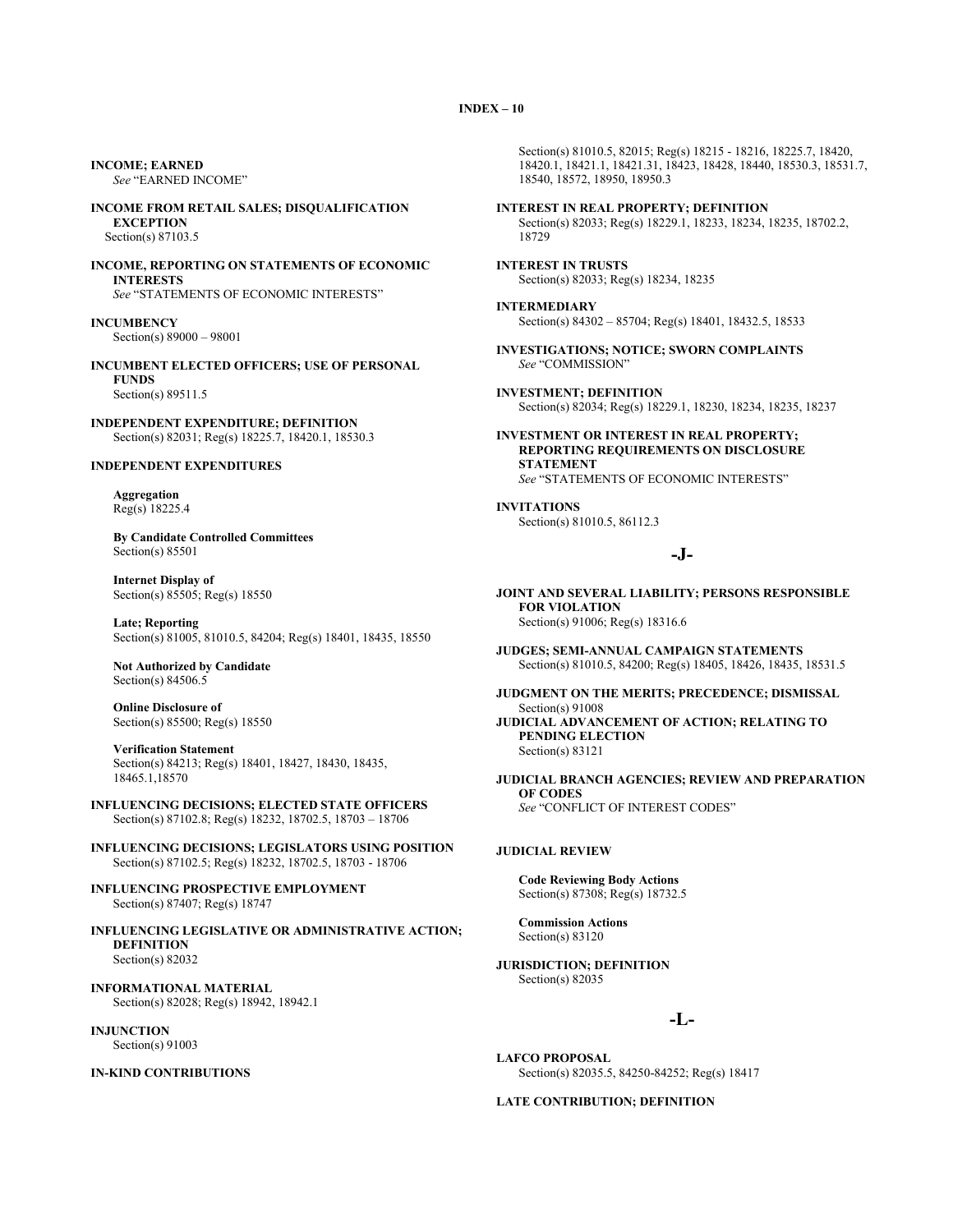**INCOME; EARNED** *See* "EARNED INCOME"

**INCOME FROM RETAIL SALES; DISQUALIFICATION EXCEPTION** Section(s) 87103.5

**INCOME, REPORTING ON STATEMENTS OF ECONOMIC INTERESTS** *See* "STATEMENTS OF ECONOMIC INTERESTS"

**INCUMBENCY** Section(s) 89000 – 98001

**INCUMBENT ELECTED OFFICERS; USE OF PERSONAL FUNDS** Section(s) 89511.5

**INDEPENDENT EXPENDITURE; DEFINITION** Section(s) 82031; Reg(s) 18225.7, 18420.1, 18530.3

#### **INDEPENDENT EXPENDITURES**

**Aggregation** Reg(s) 18225.4

**By Candidate Controlled Committees** Section(s) 85501

**Internet Display of** Section(s) 85505; Reg(s) 18550

**Late; Reporting** Section(s) 81005, 81010.5, 84204; Reg(s) 18401, 18435, 18550

**Not Authorized by Candidate** Section(s) 84506.5

**Online Disclosure of** Section(s) 85500; Reg(s) 18550

**Verification Statement** Section(s) 84213; Reg(s) 18401, 18427, 18430, 18435, 18465.1,18570

**INFLUENCING DECISIONS; ELECTED STATE OFFICERS** Section(s) 87102.8; Reg(s) 18232, 18702.5, 18703 – 18706

**INFLUENCING DECISIONS; LEGISLATORS USING POSITION** Section(s) 87102.5; Reg(s) 18232, 18702.5, 18703 - 18706

**INFLUENCING PROSPECTIVE EMPLOYMENT** Section(s) 87407; Reg(s) 18747

**INFLUENCING LEGISLATIVE OR ADMINISTRATIVE ACTION; DEFINITION** Section(s) 82032

**INFORMATIONAL MATERIAL** Section(s) 82028; Reg(s) 18942, 18942.1

**INJUNCTION** Section(s) 91003

**IN-KIND CONTRIBUTIONS**

Section(s) 81010.5, 82015; Reg(s) 18215 - 18216, 18225.7, 18420, 18420.1, 18421.1, 18421.31, 18423, 18428, 18440, 18530.3, 18531.7, 18540, 18572, 18950, 18950.3

**INTEREST IN REAL PROPERTY; DEFINITION** Section(s) 82033; Reg(s) 18229.1, 18233, 18234, 18235, 18702.2, 18729

**INTEREST IN TRUSTS** Section(s) 82033; Reg(s) 18234, 18235

**INTERMEDIARY** Section(s) 84302 – 85704; Reg(s) 18401, 18432.5, 18533

**INVESTIGATIONS; NOTICE; SWORN COMPLAINTS** *See* "COMMISSION"

**INVESTMENT; DEFINITION** Section(s) 82034; Reg(s) 18229.1, 18230, 18234, 18235, 18237

**INVESTMENT OR INTEREST IN REAL PROPERTY; REPORTING REQUIREMENTS ON DISCLOSURE STATEMENT** *See* "STATEMENTS OF ECONOMIC INTERESTS"

**INVITATIONS** Section(s) 81010.5, 86112.3

## **-J-**

**JOINT AND SEVERAL LIABILITY; PERSONS RESPONSIBLE FOR VIOLATION** Section(s) 91006; Reg(s) 18316.6

**JUDGES; SEMI-ANNUAL CAMPAIGN STATEMENTS** Section(s) 81010.5, 84200; Reg(s) 18405, 18426, 18435, 18531.5

**JUDGMENT ON THE MERITS; PRECEDENCE; DISMISSAL** Section(s) 91008 **JUDICIAL ADVANCEMENT OF ACTION; RELATING TO PENDING ELECTION** Section(s) 83121

**JUDICIAL BRANCH AGENCIES; REVIEW AND PREPARATION OF CODES** *See* "CONFLICT OF INTEREST CODES"

#### **JUDICIAL REVIEW**

**Code Reviewing Body Actions** Section(s) 87308; Reg(s) 18732.5

**Commission Actions** Section(s) 83120

**JURISDICTION; DEFINITION** Section(s) 82035

## **-L-**

**LAFCO PROPOSAL** Section(s) 82035.5, 84250-84252; Reg(s) 18417

#### **LATE CONTRIBUTION; DEFINITION**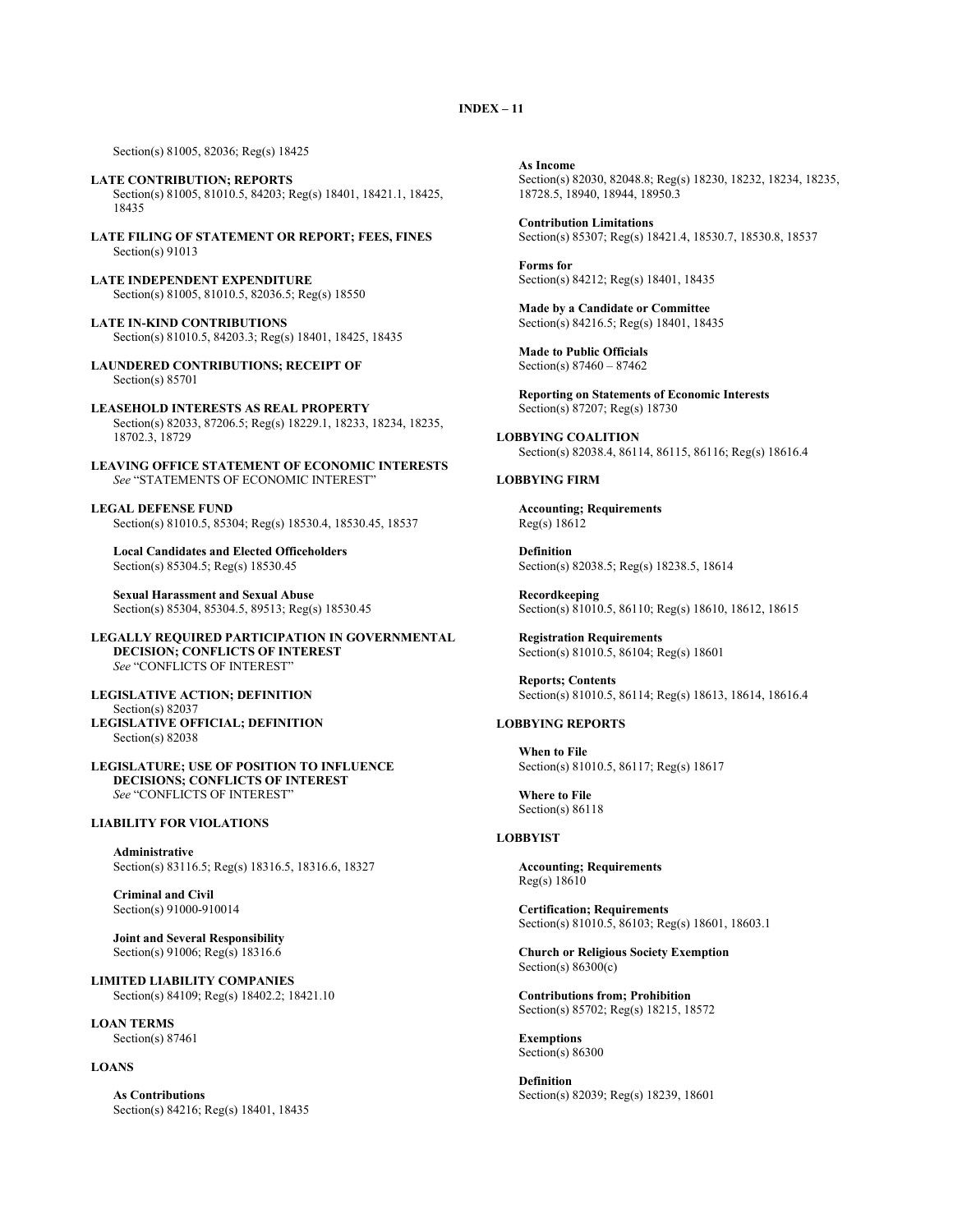Section(s) 81005, 82036; Reg(s) 18425

- **LATE CONTRIBUTION; REPORTS** Section(s) 81005, 81010.5, 84203; Reg(s) 18401, 18421.1, 18425, 18435
- **LATE FILING OF STATEMENT OR REPORT; FEES, FINES** Section(s) 91013
- **LATE INDEPENDENT EXPENDITURE** Section(s) 81005, 81010.5, 82036.5; Reg(s) 18550
- **LATE IN-KIND CONTRIBUTIONS** Section(s) 81010.5, 84203.3; Reg(s) 18401, 18425, 18435
- **LAUNDERED CONTRIBUTIONS; RECEIPT OF** Section(s) 85701
- **LEASEHOLD INTERESTS AS REAL PROPERTY** Section(s) 82033, 87206.5; Reg(s) 18229.1, 18233, 18234, 18235, 18702.3, 18729

**LEAVING OFFICE STATEMENT OF ECONOMIC INTERESTS** *See* "STATEMENTS OF ECONOMIC INTEREST"

**LEGAL DEFENSE FUND** Section(s) 81010.5, 85304; Reg(s) 18530.4, 18530.45, 18537

**Local Candidates and Elected Officeholders** Section(s) 85304.5; Reg(s) 18530.45

**Sexual Harassment and Sexual Abuse** Section(s) 85304, 85304.5, 89513; Reg(s) 18530.45

**LEGALLY REQUIRED PARTICIPATION IN GOVERNMENTAL DECISION; CONFLICTS OF INTEREST** *See* "CONFLICTS OF INTEREST"

**LEGISLATIVE ACTION; DEFINITION** Section(s) 82037 **LEGISLATIVE OFFICIAL; DEFINITION** Section(s) 82038

**LEGISLATURE; USE OF POSITION TO INFLUENCE DECISIONS; CONFLICTS OF INTEREST** *See* "CONFLICTS OF INTEREST"

#### **LIABILITY FOR VIOLATIONS**

**Administrative** Section(s) 83116.5; Reg(s) 18316.5, 18316.6, 18327

**Criminal and Civil** Section(s) 91000-910014

**Joint and Several Responsibility** Section(s) 91006; Reg(s) 18316.6

**LIMITED LIABILITY COMPANIES** Section(s) 84109; Reg(s) 18402.2; 18421.10

**LOAN TERMS** Section(s) 87461

#### **LOANS**

**As Contributions** Section(s) 84216; Reg(s) 18401, 18435 **As Income** Section(s) 82030, 82048.8; Reg(s) 18230, 18232, 18234, 18235, 18728.5, 18940, 18944, 18950.3

**Contribution Limitations** Section(s) 85307; Reg(s) 18421.4, 18530.7, 18530.8, 18537

**Forms for** Section(s) 84212; Reg(s) 18401, 18435

**Made by a Candidate or Committee** Section(s) 84216.5; Reg(s) 18401, 18435

**Made to Public Officials** Section(s) 87460 – 87462

**Reporting on Statements of Economic Interests** Section(s) 87207; Reg(s) 18730

**LOBBYING COALITION** Section(s) 82038.4, 86114, 86115, 86116; Reg(s) 18616.4

#### **LOBBYING FIRM**

**Accounting; Requirements** Reg(s) 18612

**Definition** Section(s) 82038.5; Reg(s) 18238.5, 18614

**Recordkeeping** Section(s) 81010.5, 86110; Reg(s) 18610, 18612, 18615

**Registration Requirements** Section(s) 81010.5, 86104; Reg(s) 18601

**Reports; Contents** Section(s) 81010.5, 86114; Reg(s) 18613, 18614, 18616.4

## **LOBBYING REPORTS**

**When to File** Section(s) 81010.5, 86117; Reg(s) 18617

**Where to File** Section(s) 86118

#### **LOBBYIST**

**Accounting; Requirements** Reg(s) 18610

**Certification; Requirements** Section(s) 81010.5, 86103; Reg(s) 18601, 18603.1

**Church or Religious Society Exemption** Section(s)  $86300(c)$ 

**Contributions from; Prohibition** Section(s) 85702; Reg(s) 18215, 18572

**Exemptions** Section(s) 86300

**Definition** Section(s) 82039; Reg(s) 18239, 18601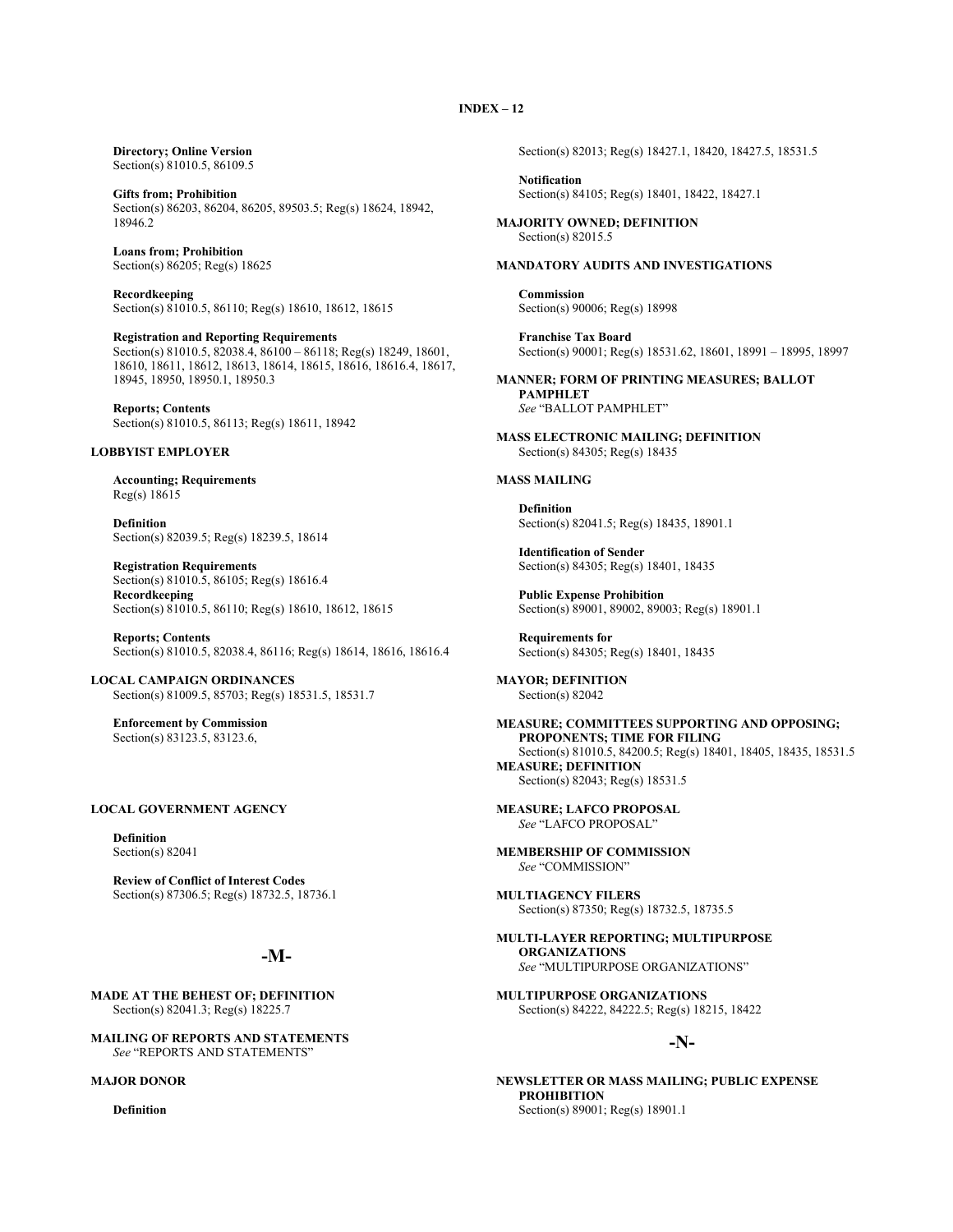**Directory; Online Version** Section(s) 81010.5, 86109.5

**Gifts from; Prohibition** Section(s) 86203, 86204, 86205, 89503.5; Reg(s) 18624, 18942, 18946.2

**Loans from; Prohibition** Section(s) 86205; Reg(s) 18625

**Recordkeeping** Section(s) 81010.5, 86110; Reg(s) 18610, 18612, 18615

**Registration and Reporting Requirements** Section(s) 81010.5, 82038.4, 86100 – 86118; Reg(s) 18249, 18601, 18610, 18611, 18612, 18613, 18614, 18615, 18616, 18616.4, 18617, 18945, 18950, 18950.1, 18950.3

**Reports; Contents** Section(s) 81010.5, 86113; Reg(s) 18611, 18942

## **LOBBYIST EMPLOYER**

**Accounting; Requirements** Reg(s) 18615

**Definition** Section(s) 82039.5; Reg(s) 18239.5, 18614

**Registration Requirements** Section(s) 81010.5, 86105; Reg(s) 18616.4 **Recordkeeping** Section(s) 81010.5, 86110; Reg(s) 18610, 18612, 18615

**Reports; Contents** Section(s) 81010.5, 82038.4, 86116; Reg(s) 18614, 18616, 18616.4

**LOCAL CAMPAIGN ORDINANCES** Section(s) 81009.5, 85703; Reg(s) 18531.5, 18531.7

**Enforcement by Commission** Section(s) 83123.5, 83123.6,

#### **LOCAL GOVERNMENT AGENCY**

**Definition** Section(s) 82041

**Review of Conflict of Interest Codes** Section(s) 87306.5; Reg(s) 18732.5, 18736.1

## **-M-**

**MADE AT THE BEHEST OF; DEFINITION** Section(s) 82041.3; Reg(s) 18225.7

**MAILING OF REPORTS AND STATEMENTS** *See* "REPORTS AND STATEMENTS"

## **MAJOR DONOR**

**Definition**

Section(s) 82013; Reg(s) 18427.1, 18420, 18427.5, 18531.5

**Notification** Section(s) 84105; Reg(s) 18401, 18422, 18427.1

**MAJORITY OWNED; DEFINITION** Section(s) 82015.5

## **MANDATORY AUDITS AND INVESTIGATIONS**

**Commission** Section(s) 90006; Reg(s) 18998

**Franchise Tax Board** Section(s) 90001; Reg(s) 18531.62, 18601, 18991 – 18995, 18997

**MANNER; FORM OF PRINTING MEASURES; BALLOT PAMPHLET** *See* "BALLOT PAMPHLET"

**MASS ELECTRONIC MAILING; DEFINITION** Section(s) 84305; Reg(s) 18435

#### **MASS MAILING**

**Definition** Section(s) 82041.5; Reg(s) 18435, 18901.1

**Identification of Sender** Section(s) 84305; Reg(s) 18401, 18435

**Public Expense Prohibition** Section(s) 89001, 89002, 89003; Reg(s) 18901.1

**Requirements for** Section(s) 84305; Reg(s) 18401, 18435

**MAYOR; DEFINITION** Section(s) 82042

**MEASURE; COMMITTEES SUPPORTING AND OPPOSING; PROPONENTS; TIME FOR FILING** Section(s) 81010.5, 84200.5; Reg(s) 18401, 18405, 18435, 18531.5 **MEASURE; DEFINITION** Section(s) 82043; Reg(s) 18531.5

**MEASURE; LAFCO PROPOSAL** *See* "LAFCO PROPOSAL"

**MEMBERSHIP OF COMMISSION** *See* "COMMISSION"

**MULTIAGENCY FILERS** Section(s) 87350; Reg(s) 18732.5, 18735.5

**MULTI-LAYER REPORTING; MULTIPURPOSE ORGANIZATIONS** *See* "MULTIPURPOSE ORGANIZATIONS"

**MULTIPURPOSE ORGANIZATIONS** Section(s) 84222, 84222.5; Reg(s) 18215, 18422

## **-N-**

**NEWSLETTER OR MASS MAILING; PUBLIC EXPENSE PROHIBITION** Section(s) 89001; Reg(s) 18901.1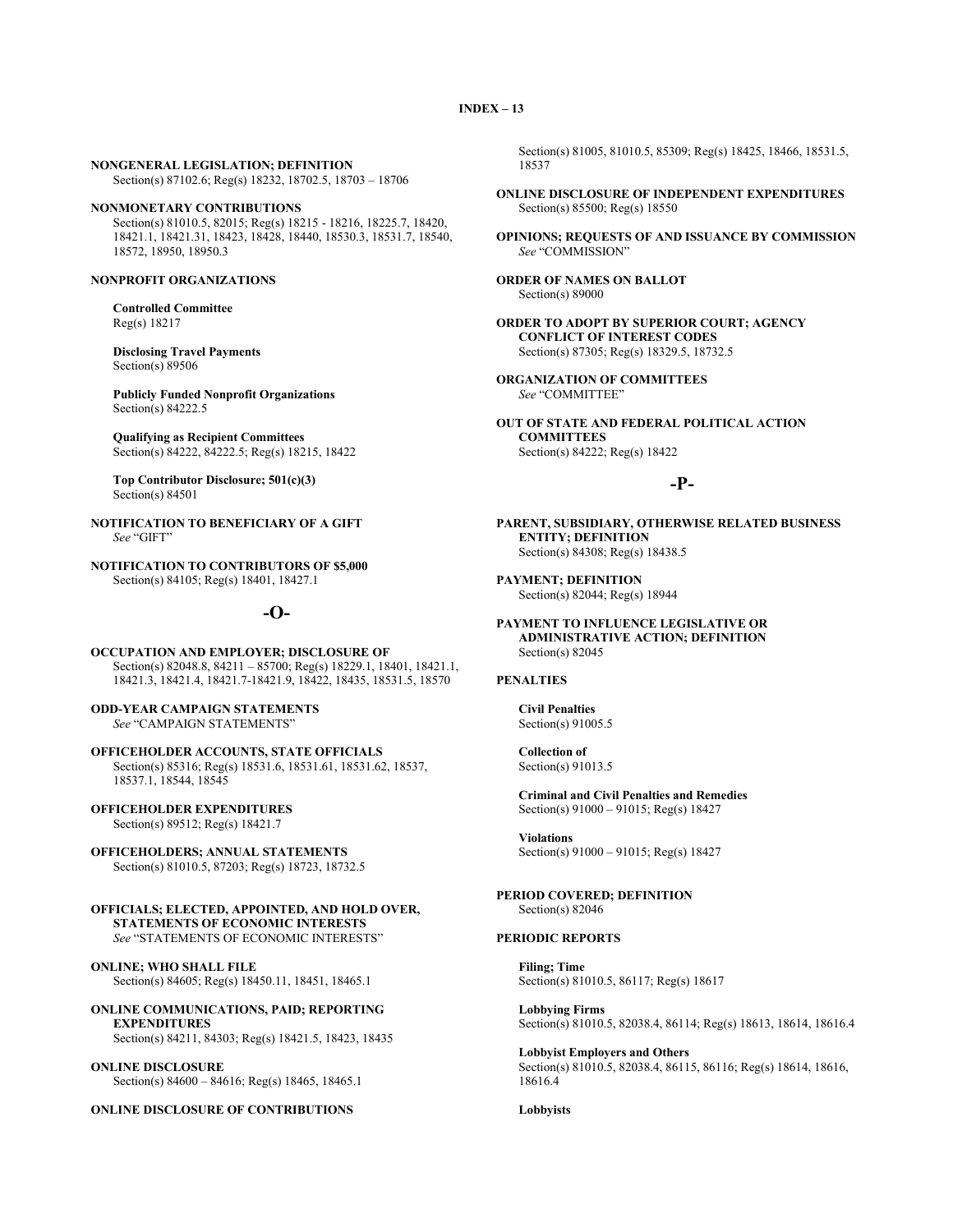#### **NONGENERAL LEGISLATION; DEFINITION**

Section(s) 87102.6; Reg(s) 18232, 18702.5, 18703 – 18706

#### **NONMONETARY CONTRIBUTIONS**

Section(s) 81010.5, 82015; Reg(s) 18215 - 18216, 18225.7, 18420, 18421.1, 18421.31, 18423, 18428, 18440, 18530.3, 18531.7, 18540, 18572, 18950, 18950.3

#### **NONPROFIT ORGANIZATIONS**

#### **Controlled Committee** Reg(s) 18217

**Disclosing Travel Payments** Section(s) 89506

**Publicly Funded Nonprofit Organizations** Section(s) 84222.5

**Qualifying as Recipient Committees** Section(s) 84222, 84222.5; Reg(s) 18215, 18422

**Top Contributor Disclosure; 501(c)(3)** Section(s) 84501

**NOTIFICATION TO BENEFICIARY OF A GIFT** *See* "GIFT"

**NOTIFICATION TO CONTRIBUTORS OF \$5,000** Section(s) 84105; Reg(s) 18401, 18427.1

## **-O-**

**OCCUPATION AND EMPLOYER; DISCLOSURE OF** Section(s) 82048.8, 84211 – 85700; Reg(s) 18229.1, 18401, 18421.1, 18421.3, 18421.4, 18421.7-18421.9, 18422, 18435, 18531.5, 18570

**ODD-YEAR CAMPAIGN STATEMENTS** *See* "CAMPAIGN STATEMENTS"

**OFFICEHOLDER ACCOUNTS, STATE OFFICIALS** Section(s) 85316; Reg(s) 18531.6, 18531.61, 18531.62, 18537, 18537.1, 18544, 18545

**OFFICEHOLDER EXPENDITURES** Section(s) 89512; Reg(s) 18421.7

**OFFICEHOLDERS; ANNUAL STATEMENTS** Section(s) 81010.5, 87203; Reg(s) 18723, 18732.5

**OFFICIALS; ELECTED, APPOINTED, AND HOLD OVER, STATEMENTS OF ECONOMIC INTERESTS** *See* "STATEMENTS OF ECONOMIC INTERESTS"

**ONLINE; WHO SHALL FILE** Section(s) 84605; Reg(s) 18450.11, 18451, 18465.1

**ONLINE COMMUNICATIONS, PAID; REPORTING EXPENDITURES** Section(s) 84211, 84303; Reg(s) 18421.5, 18423, 18435

**ONLINE DISCLOSURE** Section(s) 84600 – 84616; Reg(s) 18465, 18465.1

**ONLINE DISCLOSURE OF CONTRIBUTIONS**

Section(s) 81005, 81010.5, 85309; Reg(s) 18425, 18466, 18531.5, 18537

**ONLINE DISCLOSURE OF INDEPENDENT EXPENDITURES** Section(s) 85500; Reg(s) 18550

**OPINIONS; REQUESTS OF AND ISSUANCE BY COMMISSION** *See* "COMMISSION"

**ORDER OF NAMES ON BALLOT** Section(s) 89000

**ORDER TO ADOPT BY SUPERIOR COURT; AGENCY CONFLICT OF INTEREST CODES** Section(s) 87305; Reg(s) 18329.5, 18732.5

**ORGANIZATION OF COMMITTEES** *See* "COMMITTEE"

**OUT OF STATE AND FEDERAL POLITICAL ACTION COMMITTEES** Section(s) 84222; Reg(s) 18422

## **-P-**

**PARENT, SUBSIDIARY, OTHERWISE RELATED BUSINESS ENTITY; DEFINITION** Section(s) 84308; Reg(s) 18438.5

**PAYMENT; DEFINITION** Section(s) 82044; Reg(s) 18944

**PAYMENT TO INFLUENCE LEGISLATIVE OR ADMINISTRATIVE ACTION; DEFINITION** Section(s) 82045

#### **PENALTIES**

**Civil Penalties** Section(s) 91005.5

**Collection of** Section(s) 91013.5

**Criminal and Civil Penalties and Remedies** Section(s) 91000 – 91015; Reg(s) 18427

**Violations** Section(s) 91000 – 91015; Reg(s) 18427

**PERIOD COVERED; DEFINITION** Section(s) 82046

#### **PERIODIC REPORTS**

**Filing; Time** Section(s) 81010.5, 86117; Reg(s) 18617

**Lobbying Firms** Section(s) 81010.5, 82038.4, 86114; Reg(s) 18613, 18614, 18616.4

**Lobbyist Employers and Others** Section(s) 81010.5, 82038.4, 86115, 86116; Reg(s) 18614, 18616, 18616.4

#### **Lobbyists**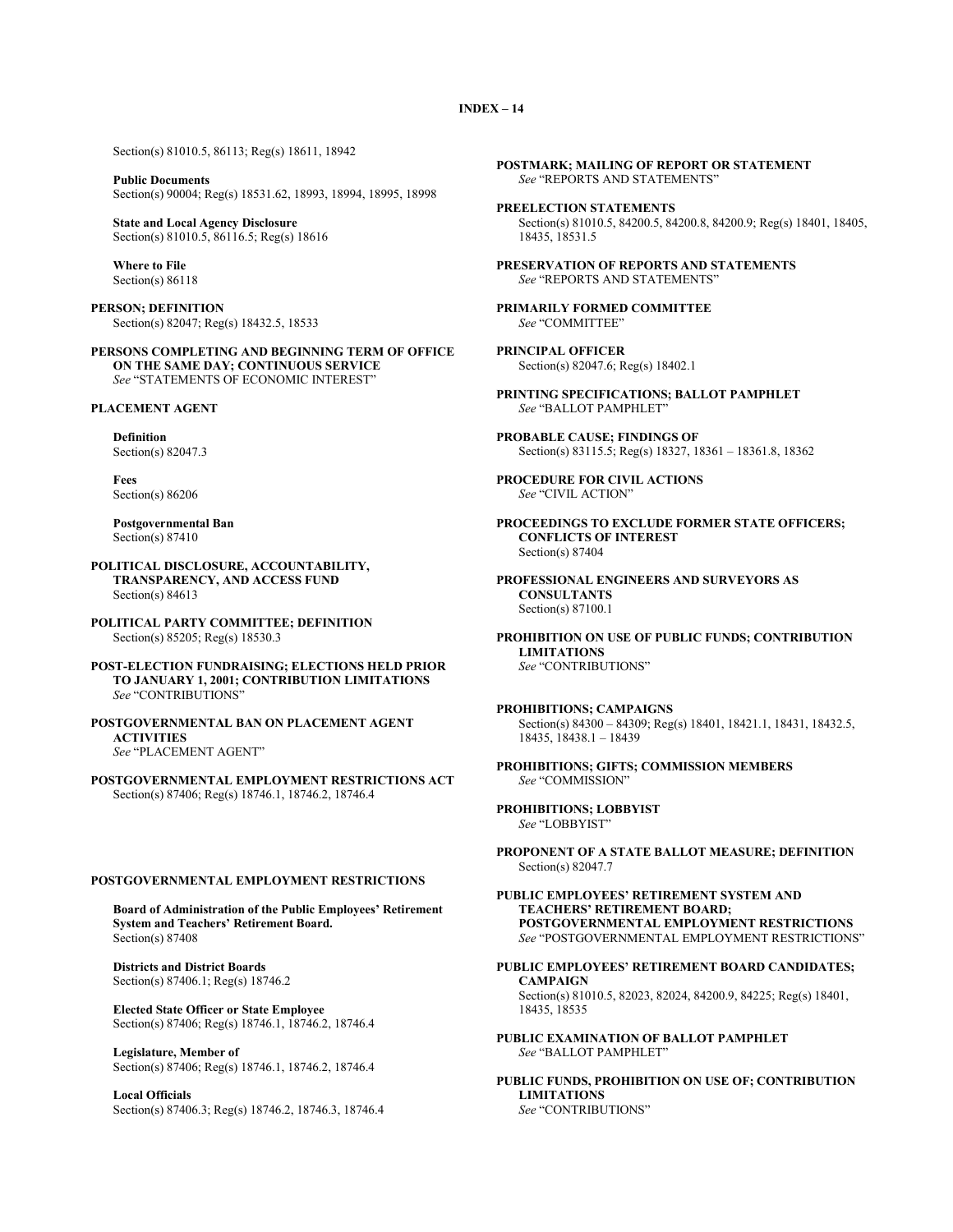Section(s) 81010.5, 86113; Reg(s) 18611, 18942

**Public Documents** Section(s) 90004; Reg(s) 18531.62, 18993, 18994, 18995, 18998

**State and Local Agency Disclosure** Section(s) 81010.5, 86116.5; Reg(s) 18616

**Where to File** Section(s) 86118

**PERSON; DEFINITION** Section(s) 82047; Reg(s) 18432.5, 18533

**PERSONS COMPLETING AND BEGINNING TERM OF OFFICE ON THE SAME DAY; CONTINUOUS SERVICE** *See* "STATEMENTS OF ECONOMIC INTEREST"

**PLACEMENT AGENT**

**Definition**

Section(s) 82047.3

**Fees** Section(s) 86206

**Postgovernmental Ban** Section(s) 87410

**POLITICAL DISCLOSURE, ACCOUNTABILITY, TRANSPARENCY, AND ACCESS FUND** Section(s) 84613

**POLITICAL PARTY COMMITTEE; DEFINITION** Section(s) 85205; Reg(s) 18530.3

**POST-ELECTION FUNDRAISING; ELECTIONS HELD PRIOR TO JANUARY 1, 2001; CONTRIBUTION LIMITATIONS** *See* "CONTRIBUTIONS"

**POSTGOVERNMENTAL BAN ON PLACEMENT AGENT ACTIVITIES** *See* "PLACEMENT AGENT"

**POSTGOVERNMENTAL EMPLOYMENT RESTRICTIONS ACT** Section(s) 87406; Reg(s) 18746.1, 18746.2, 18746.4

#### **POSTGOVERNMENTAL EMPLOYMENT RESTRICTIONS**

**Board of Administration of the Public Employees' Retirement System and Teachers' Retirement Board.** Section(s) 87408

**Districts and District Boards** Section(s) 87406.1; Reg(s) 18746.2

**Elected State Officer or State Employee** Section(s) 87406; Reg(s) 18746.1, 18746.2, 18746.4

**Legislature, Member of** Section(s) 87406; Reg(s) 18746.1, 18746.2, 18746.4

**Local Officials**  Section(s) 87406.3; Reg(s) 18746.2, 18746.3, 18746.4

- **POSTMARK; MAILING OF REPORT OR STATEMENT** *See* "REPORTS AND STATEMENTS"
- **PREELECTION STATEMENTS** Section(s) 81010.5, 84200.5, 84200.8, 84200.9; Reg(s) 18401, 18405, 18435, 18531.5

**PRESERVATION OF REPORTS AND STATEMENTS** *See* "REPORTS AND STATEMENTS"

**PRIMARILY FORMED COMMITTEE** *See* "COMMITTEE"

**PRINCIPAL OFFICER** Section(s) 82047.6; Reg(s) 18402.1

**PRINTING SPECIFICATIONS; BALLOT PAMPHLET** *See* "BALLOT PAMPHLET"

**PROBABLE CAUSE; FINDINGS OF** Section(s) 83115.5; Reg(s) 18327, 18361 – 18361.8, 18362

**PROCEDURE FOR CIVIL ACTIONS** *See* "CIVIL ACTION"

**PROCEEDINGS TO EXCLUDE FORMER STATE OFFICERS; CONFLICTS OF INTEREST** Section(s) 87404

**PROFESSIONAL ENGINEERS AND SURVEYORS AS CONSULTANTS** Section(s) 87100.1

**PROHIBITION ON USE OF PUBLIC FUNDS; CONTRIBUTION LIMITATIONS** *See* "CONTRIBUTIONS"

**PROHIBITIONS; CAMPAIGNS** Section(s) 84300 – 84309; Reg(s) 18401, 18421.1, 18431, 18432.5, 18435, 18438.1 – 18439

**PROHIBITIONS; GIFTS; COMMISSION MEMBERS** *See* "COMMISSION"

**PROHIBITIONS; LOBBYIST** *See* "LOBBYIST"

**PROPONENT OF A STATE BALLOT MEASURE; DEFINITION** Section(s) 82047.7

- **PUBLIC EMPLOYEES' RETIREMENT SYSTEM AND TEACHERS' RETIREMENT BOARD; POSTGOVERNMENTAL EMPLOYMENT RESTRICTIONS** *See* "POSTGOVERNMENTAL EMPLOYMENT RESTRICTIONS"
- **PUBLIC EMPLOYEES' RETIREMENT BOARD CANDIDATES; CAMPAIGN** Section(s) 81010.5, 82023, 82024, 84200.9, 84225; Reg(s) 18401, 18435, 18535
- **PUBLIC EXAMINATION OF BALLOT PAMPHLET** *See* "BALLOT PAMPHLET"
- **PUBLIC FUNDS, PROHIBITION ON USE OF; CONTRIBUTION LIMITATIONS** *See* "CONTRIBUTIONS"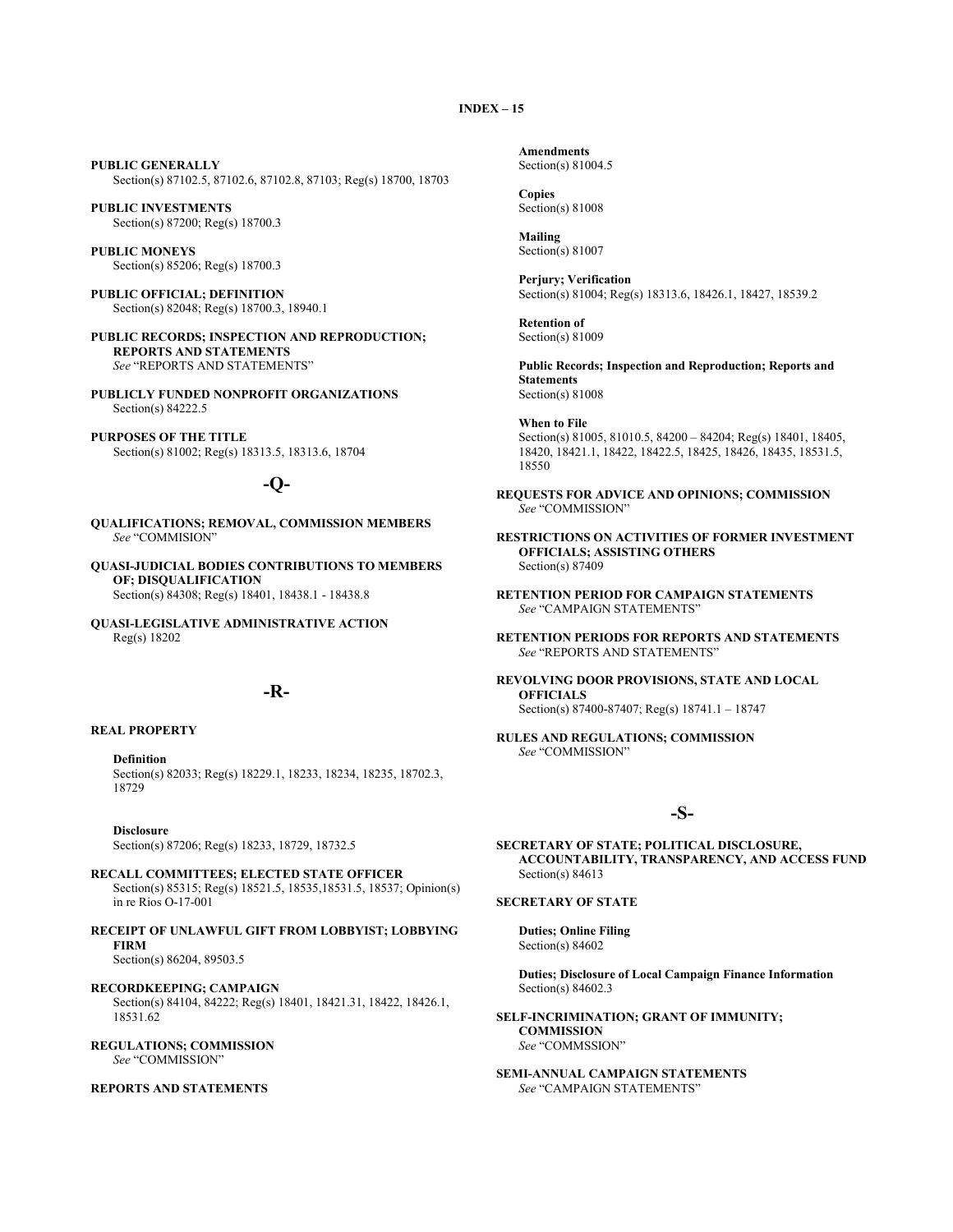**PUBLIC GENERALLY** Section(s) 87102.5, 87102.6, 87102.8, 87103; Reg(s) 18700, 18703

**PUBLIC INVESTMENTS** Section(s) 87200; Reg(s) 18700.3

**PUBLIC MONEYS** Section(s) 85206; Reg(s) 18700.3

**PUBLIC OFFICIAL; DEFINITION** Section(s) 82048; Reg(s) 18700.3, 18940.1

**PUBLIC RECORDS; INSPECTION AND REPRODUCTION; REPORTS AND STATEMENTS** *See* "REPORTS AND STATEMENTS"

**PUBLICLY FUNDED NONPROFIT ORGANIZATIONS** Section(s) 84222.5

**PURPOSES OF THE TITLE** Section(s) 81002; Reg(s) 18313.5, 18313.6, 18704

## **-Q-**

**QUALIFICATIONS; REMOVAL, COMMISSION MEMBERS** *See* "COMMISION"

**QUASI-JUDICIAL BODIES CONTRIBUTIONS TO MEMBERS OF; DISQUALIFICATION** Section(s) 84308; Reg(s) 18401, 18438.1 - 18438.8

**QUASI-LEGISLATIVE ADMINISTRATIVE ACTION** Reg(s) 18202

## **-R-**

#### **REAL PROPERTY**

**Definition** Section(s) 82033; Reg(s) 18229.1, 18233, 18234, 18235, 18702.3, 18729

**Disclosure**

Section(s) 87206; Reg(s) 18233, 18729, 18732.5

**RECALL COMMITTEES; ELECTED STATE OFFICER** Section(s) 85315; Reg(s) 18521.5, 18535,18531.5, 18537; Opinion(s) in re Rios O-17-001

**RECEIPT OF UNLAWFUL GIFT FROM LOBBYIST; LOBBYING FIRM** Section(s) 86204, 89503.5

**RECORDKEEPING; CAMPAIGN** Section(s) 84104, 84222; Reg(s) 18401, 18421.31, 18422, 18426.1, 18531.62

**REGULATIONS; COMMISSION** *See* "COMMISSION"

#### **REPORTS AND STATEMENTS**

**Amendments** Section(s) 81004.5

**Copies** Section(s) 81008

**Mailing** Section(s) 81007

**Perjury; Verification** Section(s) 81004; Reg(s) 18313.6, 18426.1, 18427, 18539.2

**Retention of** Section(s) 81009

**Public Records; Inspection and Reproduction; Reports and Statements** Section(s) 81008

**When to File** Section(s) 81005, 81010.5, 84200 – 84204; Reg(s) 18401, 18405, 18420, 18421.1, 18422, 18422.5, 18425, 18426, 18435, 18531.5, 18550

- **REQUESTS FOR ADVICE AND OPINIONS; COMMISSION** *See* "COMMISSION"
- **RESTRICTIONS ON ACTIVITIES OF FORMER INVESTMENT OFFICIALS; ASSISTING OTHERS** Section(s) 87409
- **RETENTION PERIOD FOR CAMPAIGN STATEMENTS** *See* "CAMPAIGN STATEMENTS"

**RETENTION PERIODS FOR REPORTS AND STATEMENTS** *See* "REPORTS AND STATEMENTS"

**REVOLVING DOOR PROVISIONS, STATE AND LOCAL OFFICIALS** Section(s) 87400-87407; Reg(s) 18741.1 – 18747

**RULES AND REGULATIONS; COMMISSION** *See* "COMMISSION"

## **-S-**

**SECRETARY OF STATE; POLITICAL DISCLOSURE, ACCOUNTABILITY, TRANSPARENCY, AND ACCESS FUND** Section(s) 84613

#### **SECRETARY OF STATE**

**Duties; Online Filing** Section(s) 84602

**Duties; Disclosure of Local Campaign Finance Information** Section(s) 84602.3

**SELF-INCRIMINATION; GRANT OF IMMUNITY; COMMISSION** *See* "COMMSSION"

**SEMI-ANNUAL CAMPAIGN STATEMENTS** *See* "CAMPAIGN STATEMENTS"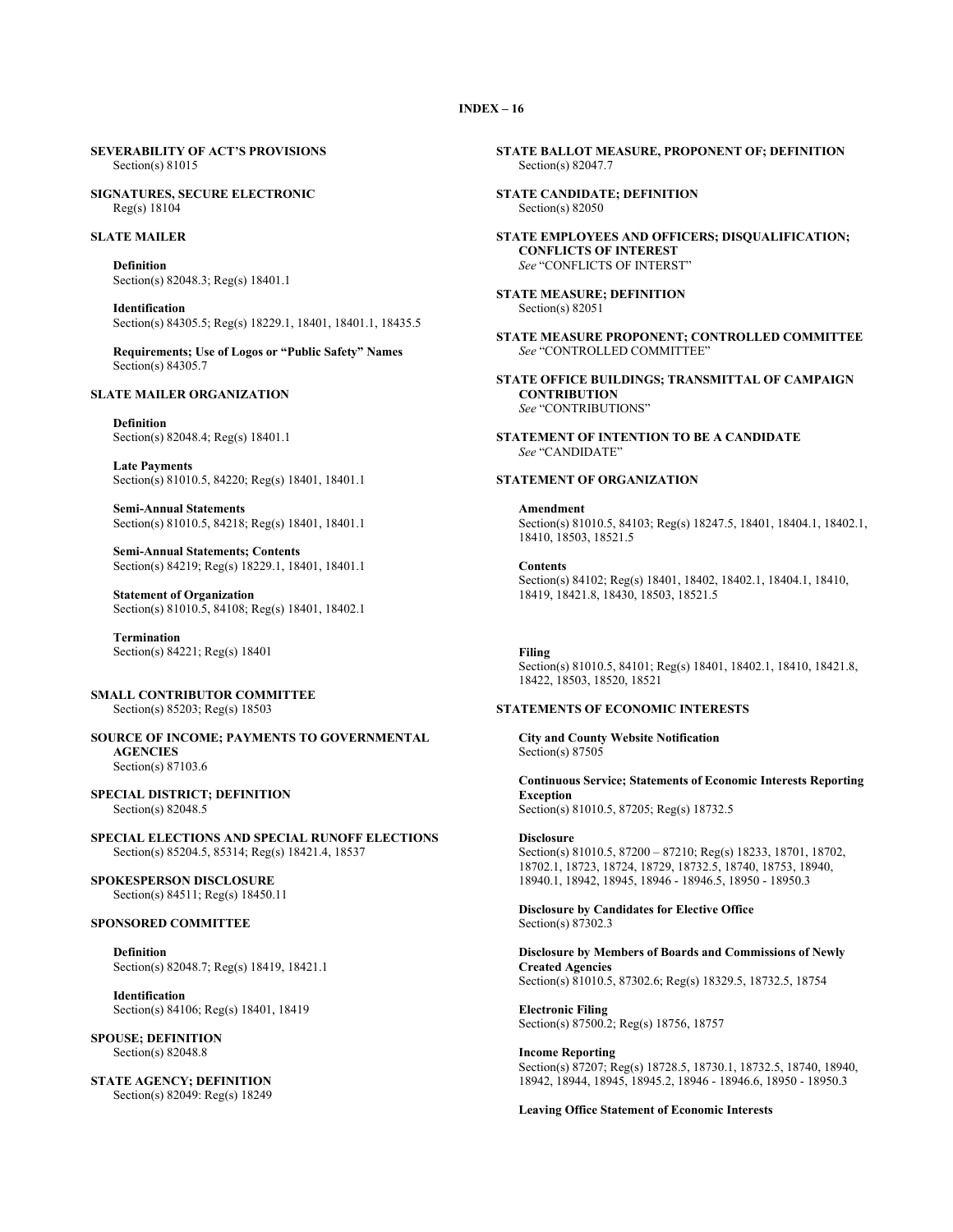#### **SEVERABILITY OF ACT'S PROVISIONS** Section(s) 81015

**SIGNATURES, SECURE ELECTRONIC** Reg(s) 18104

#### **SLATE MAILER**

**Definition** Section(s) 82048.3; Reg(s) 18401.1

**Identification** Section(s) 84305.5; Reg(s) 18229.1, 18401, 18401.1, 18435.5

**Requirements; Use of Logos or "Public Safety" Names** Section(s) 84305.7

## **SLATE MAILER ORGANIZATION**

**Definition** Section(s) 82048.4; Reg(s) 18401.1

**Late Payments** Section(s) 81010.5, 84220; Reg(s) 18401, 18401.1

**Semi-Annual Statements** Section(s) 81010.5, 84218; Reg(s) 18401, 18401.1

**Semi-Annual Statements; Contents** Section(s) 84219; Reg(s) 18229.1, 18401, 18401.1

**Statement of Organization** Section(s) 81010.5, 84108; Reg(s) 18401, 18402.1

**Termination** Section(s) 84221; Reg(s) 18401

**SMALL CONTRIBUTOR COMMITTEE** Section(s) 85203; Reg(s) 18503

**SOURCE OF INCOME; PAYMENTS TO GOVERNMENTAL AGENCIES** Section(s) 87103.6

**SPECIAL DISTRICT; DEFINITION** Section(s) 82048.5

**SPECIAL ELECTIONS AND SPECIAL RUNOFF ELECTIONS** Section(s) 85204.5, 85314; Reg(s) 18421.4, 18537

**SPOKESPERSON DISCLOSURE** Section(s) 84511; Reg(s) 18450.11

## **SPONSORED COMMITTEE**

**Definition** Section(s) 82048.7; Reg(s) 18419, 18421.1

**Identification** Section(s) 84106; Reg(s) 18401, 18419

**SPOUSE; DEFINITION** Section(s) 82048.8

**STATE AGENCY; DEFINITION** Section(s) 82049: Reg(s) 18249 **STATE BALLOT MEASURE, PROPONENT OF; DEFINITION** Section(s) 82047.7

**STATE CANDIDATE; DEFINITION** Section(s) 82050

**STATE EMPLOYEES AND OFFICERS; DISQUALIFICATION; CONFLICTS OF INTEREST** *See* "CONFLICTS OF INTERST"

**STATE MEASURE; DEFINITION** Section(s) 82051

- **STATE MEASURE PROPONENT; CONTROLLED COMMITTEE** *See* "CONTROLLED COMMITTEE"
- **STATE OFFICE BUILDINGS; TRANSMITTAL OF CAMPAIGN CONTRIBUTION** *See* "CONTRIBUTIONS"

**STATEMENT OF INTENTION TO BE A CANDIDATE** *See* "CANDIDATE"

#### **STATEMENT OF ORGANIZATION**

**Amendment** Section(s) 81010.5, 84103; Reg(s) 18247.5, 18401, 18404.1, 18402.1, 18410, 18503, 18521.5

**Contents** Section(s) 84102; Reg(s) 18401, 18402, 18402.1, 18404.1, 18410, 18419, 18421.8, 18430, 18503, 18521.5

**Filing** Section(s) 81010.5, 84101; Reg(s) 18401, 18402.1, 18410, 18421.8, 18422, 18503, 18520, 18521

#### **STATEMENTS OF ECONOMIC INTERESTS**

**City and County Website Notification** Section(s) 87505

**Continuous Service; Statements of Economic Interests Reporting Exception** Section(s) 81010.5, 87205; Reg(s) 18732.5

**Disclosure** Section(s) 81010.5, 87200 – 87210; Reg(s) 18233, 18701, 18702, 18702.1, 18723, 18724, 18729, 18732.5, 18740, 18753, 18940, 18940.1, 18942, 18945, 18946 - 18946.5, 18950 - 18950.3

**Disclosure by Candidates for Elective Office** Section(s) 87302.3

**Disclosure by Members of Boards and Commissions of Newly Created Agencies** Section(s) 81010.5, 87302.6; Reg(s) 18329.5, 18732.5, 18754

**Electronic Filing** Section(s) 87500.2; Reg(s) 18756, 18757

**Income Reporting**  Section(s) 87207; Reg(s) 18728.5, 18730.1, 18732.5, 18740, 18940, 18942, 18944, 18945, 18945.2, 18946 - 18946.6, 18950 - 18950.3

**Leaving Office Statement of Economic Interests**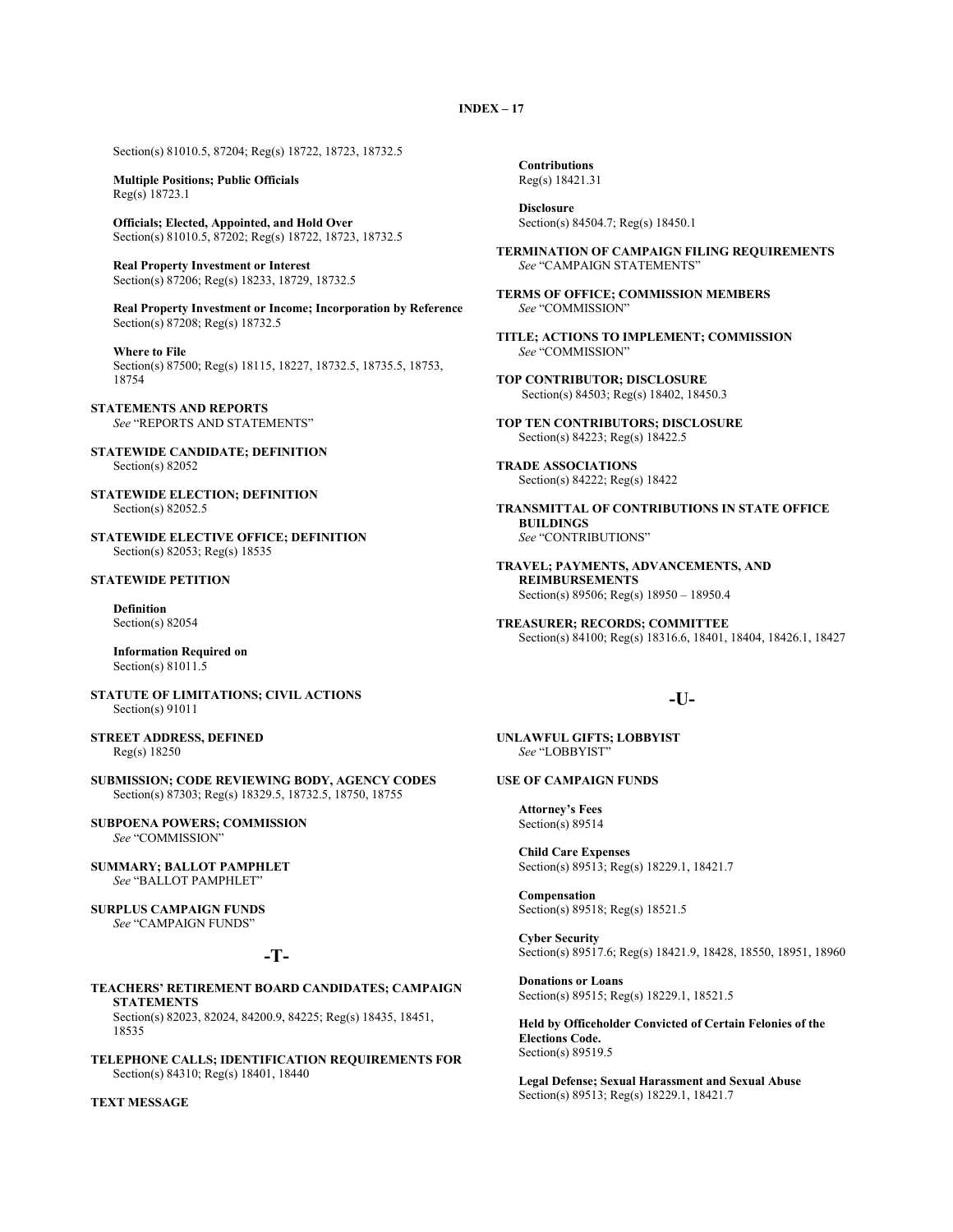Section(s) 81010.5, 87204; Reg(s) 18722, 18723, 18732.5

**Multiple Positions; Public Officials** Reg(s) 18723.1

**Officials; Elected, Appointed, and Hold Over** Section(s) 81010.5, 87202; Reg(s) 18722, 18723, 18732.5

**Real Property Investment or Interest** Section(s) 87206; Reg(s) 18233, 18729, 18732.5

**Real Property Investment or Income; Incorporation by Reference** Section(s) 87208; Reg(s) 18732.5

**Where to File** Section(s) 87500; Reg(s) 18115, 18227, 18732.5, 18735.5, 18753, 18754

**STATEMENTS AND REPORTS** *See* "REPORTS AND STATEMENTS"

- **STATEWIDE CANDIDATE; DEFINITION** Section(s) 82052
- **STATEWIDE ELECTION; DEFINITION** Section(s) 82052.5
- **STATEWIDE ELECTIVE OFFICE; DEFINITION** Section(s) 82053; Reg(s) 18535

## **STATEWIDE PETITION**

**Definition** Section(s) 82054

**Information Required on** Section(s) 81011.5

**STATUTE OF LIMITATIONS; CIVIL ACTIONS** Section(s) 91011

**STREET ADDRESS, DEFINED** Reg(s) 18250

**SUBMISSION; CODE REVIEWING BODY, AGENCY CODES** Section(s) 87303; Reg(s) 18329.5, 18732.5, 18750, 18755

**SUBPOENA POWERS; COMMISSION** *See* "COMMISSION"

**SUMMARY; BALLOT PAMPHLET** *See* "BALLOT PAMPHLET"

**SURPLUS CAMPAIGN FUNDS** *See* "CAMPAIGN FUNDS"

## **-T-**

#### **TEACHERS' RETIREMENT BOARD CANDIDATES; CAMPAIGN STATEMENTS** Section(s) 82023, 82024, 84200.9, 84225; Reg(s) 18435, 18451, 18535

**TELEPHONE CALLS; IDENTIFICATION REQUIREMENTS FOR** Section(s) 84310; Reg(s) 18401, 18440

#### **TEXT MESSAGE**

**Contributions** Reg(s) 18421.31

**Disclosure** Section(s) 84504.7; Reg(s) 18450.1

**TERMINATION OF CAMPAIGN FILING REQUIREMENTS** *See* "CAMPAIGN STATEMENTS"

**TERMS OF OFFICE; COMMISSION MEMBERS** *See* "COMMISSION"

- **TITLE; ACTIONS TO IMPLEMENT; COMMISSION** *See* "COMMISSION"
- **TOP CONTRIBUTOR; DISCLOSURE**  Section(s) 84503; Reg(s) 18402, 18450.3
- **TOP TEN CONTRIBUTORS; DISCLOSURE** Section(s) 84223; Reg(s) 18422.5
- **TRADE ASSOCIATIONS** Section(s) 84222; Reg(s) 18422
- **TRANSMITTAL OF CONTRIBUTIONS IN STATE OFFICE BUILDINGS** *See* "CONTRIBUTIONS"
- **TRAVEL; PAYMENTS, ADVANCEMENTS, AND REIMBURSEMENTS** Section(s) 89506; Reg(s) 18950 – 18950.4
- **TREASURER; RECORDS; COMMITTEE** Section(s) 84100; Reg(s) 18316.6, 18401, 18404, 18426.1, 18427

## **-U-**

**UNLAWFUL GIFTS; LOBBYIST** *See* "LOBBYIST"

## **USE OF CAMPAIGN FUNDS**

**Attorney's Fees** Section(s) 89514

**Child Care Expenses** Section(s) 89513; Reg(s) 18229.1, 18421.7

**Compensation** Section(s) 89518; Reg(s) 18521.5

**Cyber Security** Section(s) 89517.6; Reg(s) 18421.9, 18428, 18550, 18951, 18960

**Donations or Loans** Section(s) 89515; Reg(s) 18229.1, 18521.5

**Held by Officeholder Convicted of Certain Felonies of the Elections Code.** Section(s) 89519.5

**Legal Defense; Sexual Harassment and Sexual Abuse** Section(s) 89513; Reg(s) 18229.1, 18421.7